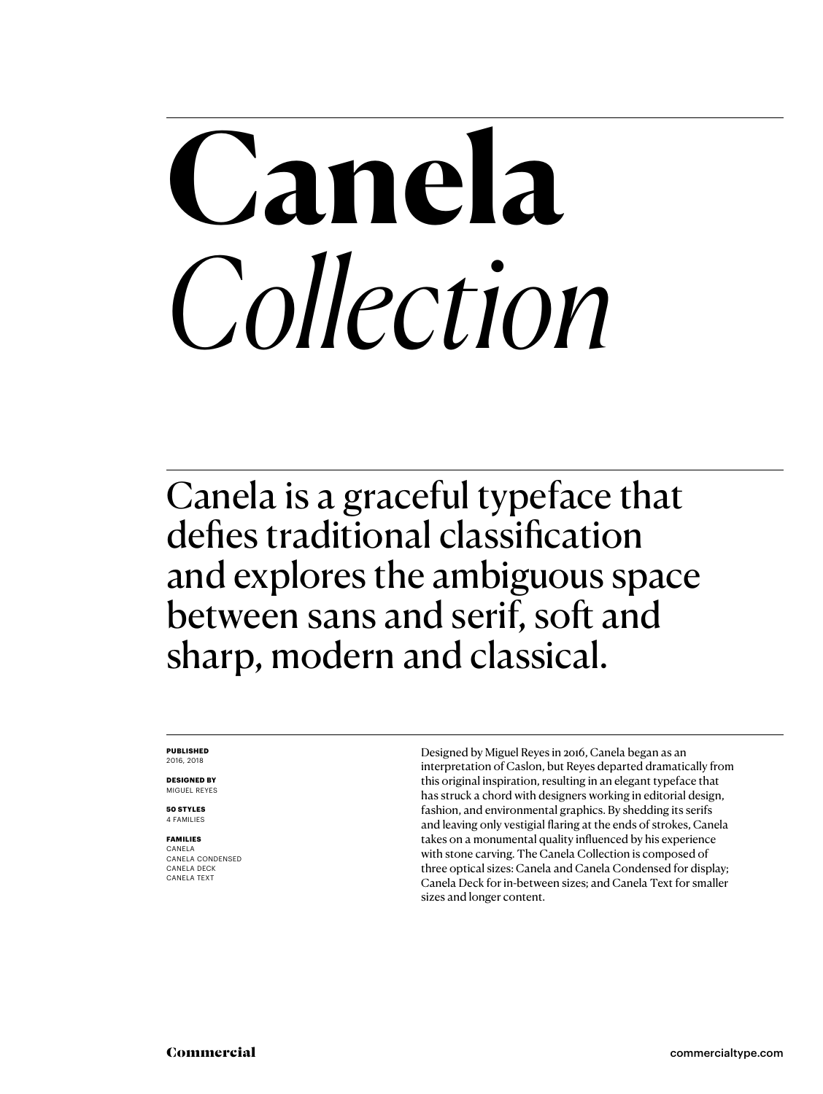# **Canela** *Collection*

Canela is a graceful typeface that defies traditional classification and explores the ambiguous space between sans and serif, soft and sharp, modern and classical.

#### **PUBLISHED** 2016, 2018

**DESIGNED BY** MIGUEL REYES

**50 STYLES** 4 FAMILIES

### **FAMILIES** CANELA CANELA CONDENSED

CANELA DECK CANELA TEXT

Designed by Miguel Reyes in 2016, Canela began as an interpretation of Caslon, but Reyes departed dramatically from this original inspiration, resulting in an elegant typeface that has struck a chord with designers working in editorial design, fashion, and environmental graphics. By shedding its serifs and leaving only vestigial flaring at the ends of strokes, Canela takes on a monumental quality influenced by his experience with stone carving. The Canela Collection is composed of three optical sizes: Canela and Canela Condensed for display; Canela Deck for in-between sizes; and Canela Text for smaller sizes and longer content.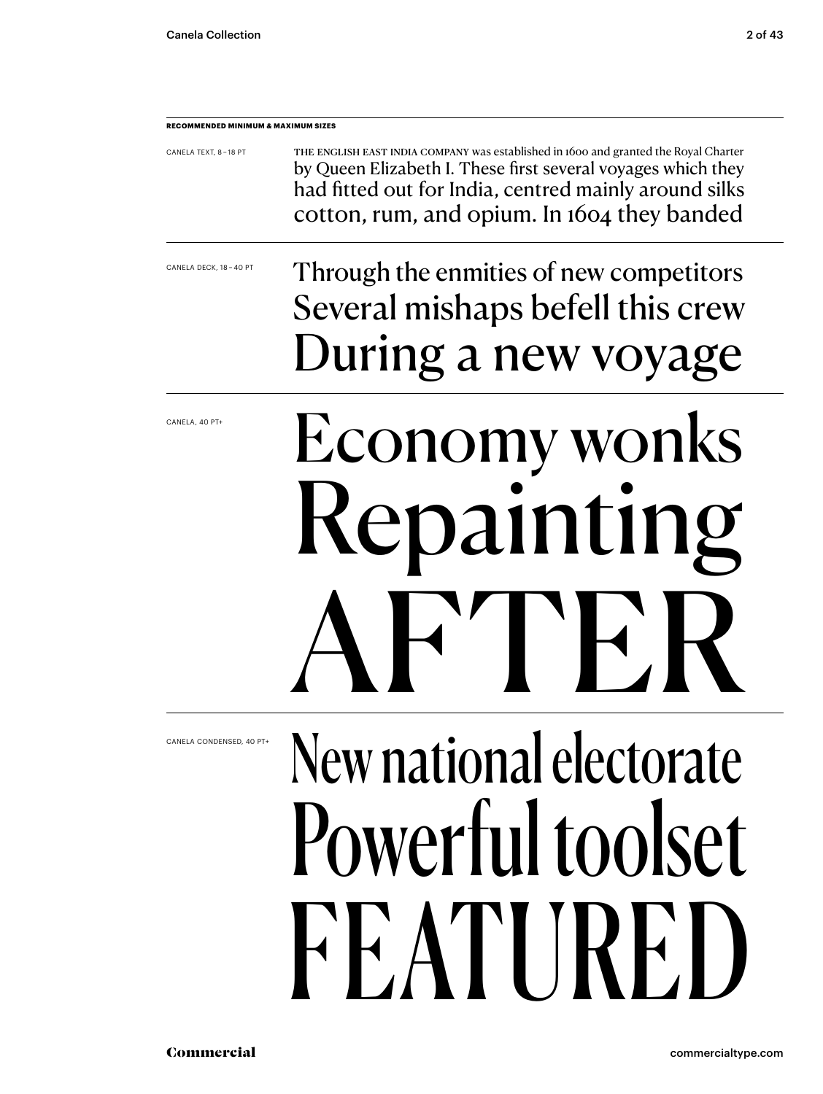**RECOMMENDED MINIMUM & MAXIMUM SIZES**

| CANELA TEXT, 8-18 PT | THE ENGLISH EAST INDIA COMPANY was established in 1600 and granted the Royal Charter |
|----------------------|--------------------------------------------------------------------------------------|
|                      | by Queen Elizabeth I. These first several voyages which they                         |
|                      | had fitted out for India, centred mainly around silks                                |
|                      | cotton, rum, and opium. In 1604 they banded                                          |

CANELA DECK, 18 – 40 PT

### Through the enmities of new competitors Several mishaps befell this crew During a new voyage

CANELA, 40 PT+

# Economy wonks epaintin  $\mathbf{T}$

New national electorate Powerful toolset FEATIRE

CANELA CONDENSED, 40 PT+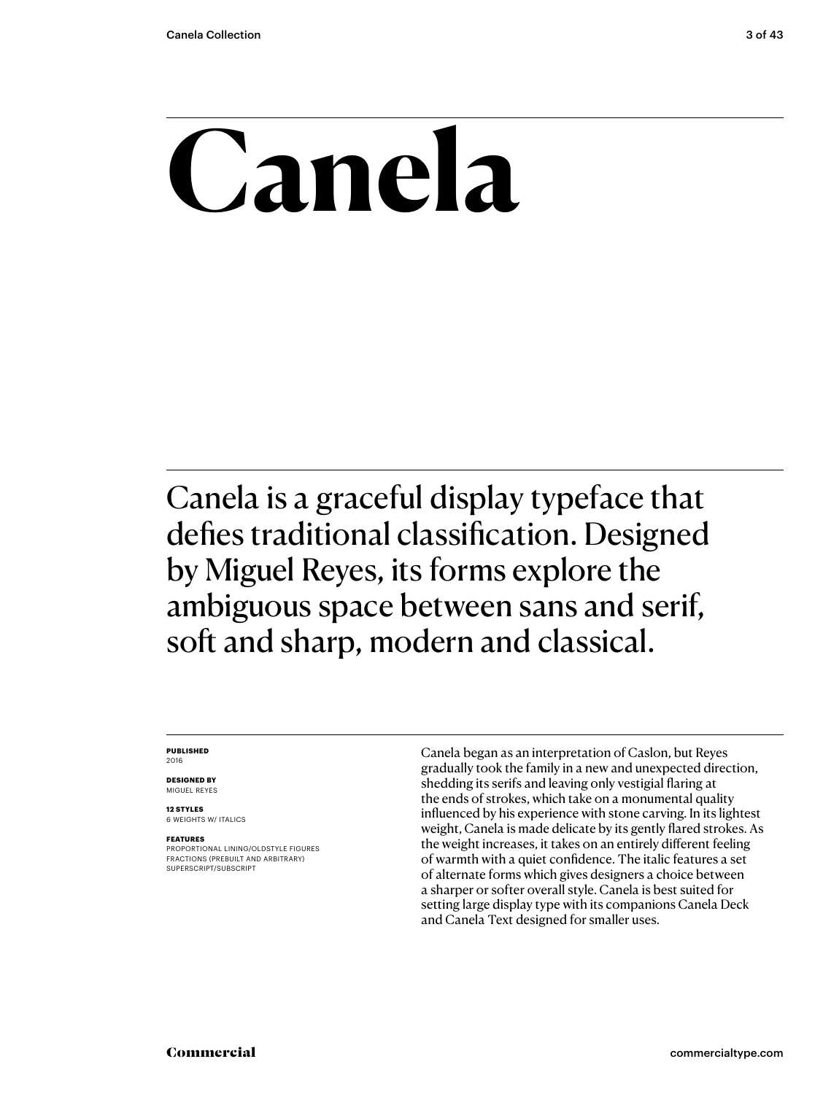# **Canela**

Canela is a graceful display typeface that defies traditional classification. Designed by Miguel Reyes, its forms explore the ambiguous space between sans and serif, soft and sharp, modern and classical.

#### **PUBLISHED** 2016

**DESIGNED BY** MIGUEL REYES

**12 STYLES** 6 WEIGHTS W/ ITALICS

#### **FEATURES**

PROPORTIONAL LINING/OLDSTYLE FIGURES FRACTIONS (PREBUILT AND ARBITRARY) SUPERSCRIPT/SUBSCRIPT

Canela began as an interpretation of Caslon, but Reyes gradually took the family in a new and unexpected direction, shedding its serifs and leaving only vestigial flaring at the ends of strokes, which take on a monumental quality influenced by his experience with stone carving. In its lightest weight, Canela is made delicate by its gently flared strokes. As the weight increases, it takes on an entirely different feeling of warmth with a quiet confidence. The italic features a set of alternate forms which gives designers a choice between a sharper or softer overall style. Canela is best suited for setting large display type with its companions Canela Deck and Canela Text designed for smaller uses.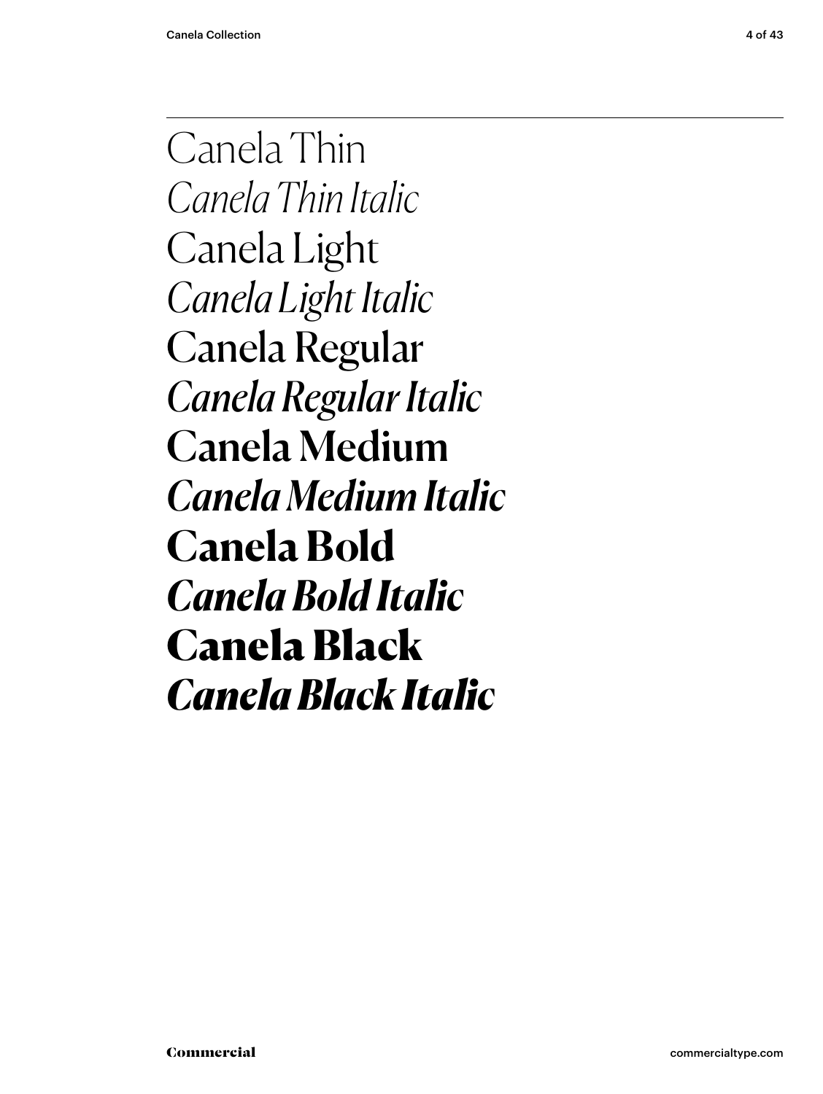Canela Thin *Canela Thin Italic* Canela Light *Canela Light Italic* Canela Regular *Canela Regular Italic* Canela Medium *Canela Medium Italic* **Canela Bold** *Canela Bold Italic* Canela Black *Canela Black Italic*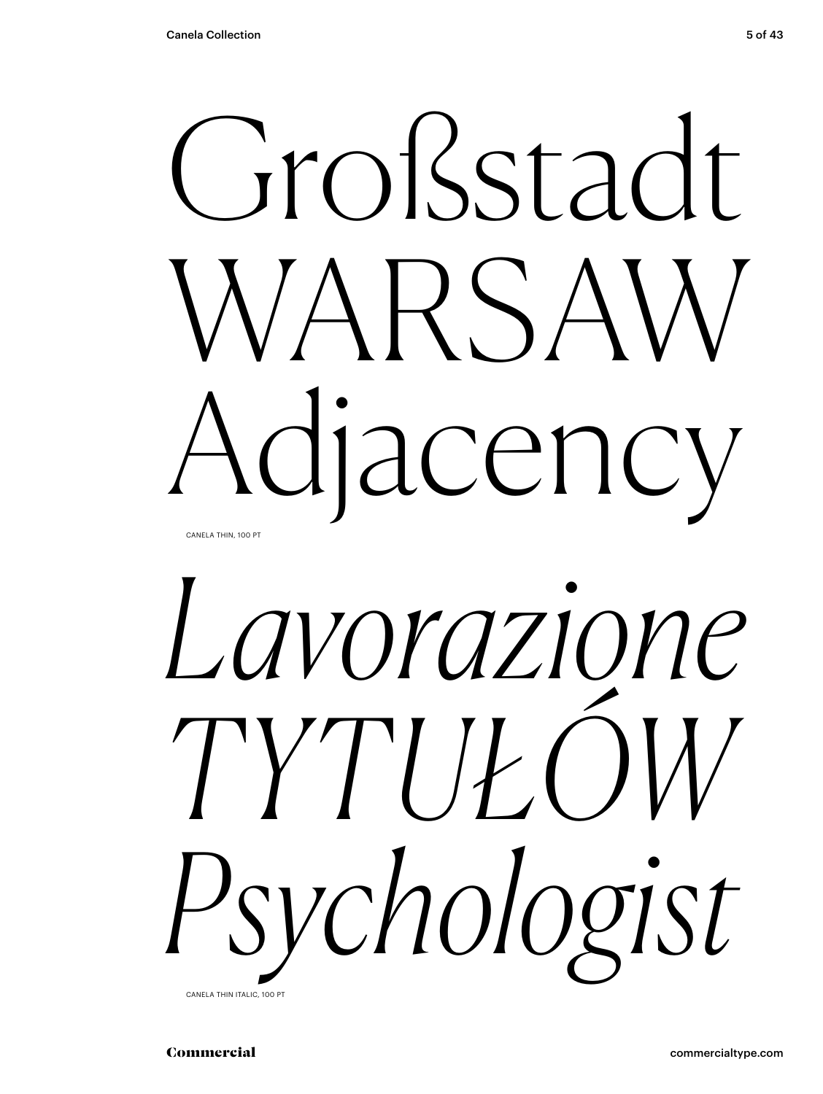



CANELA THIN ITALIC, 100 PT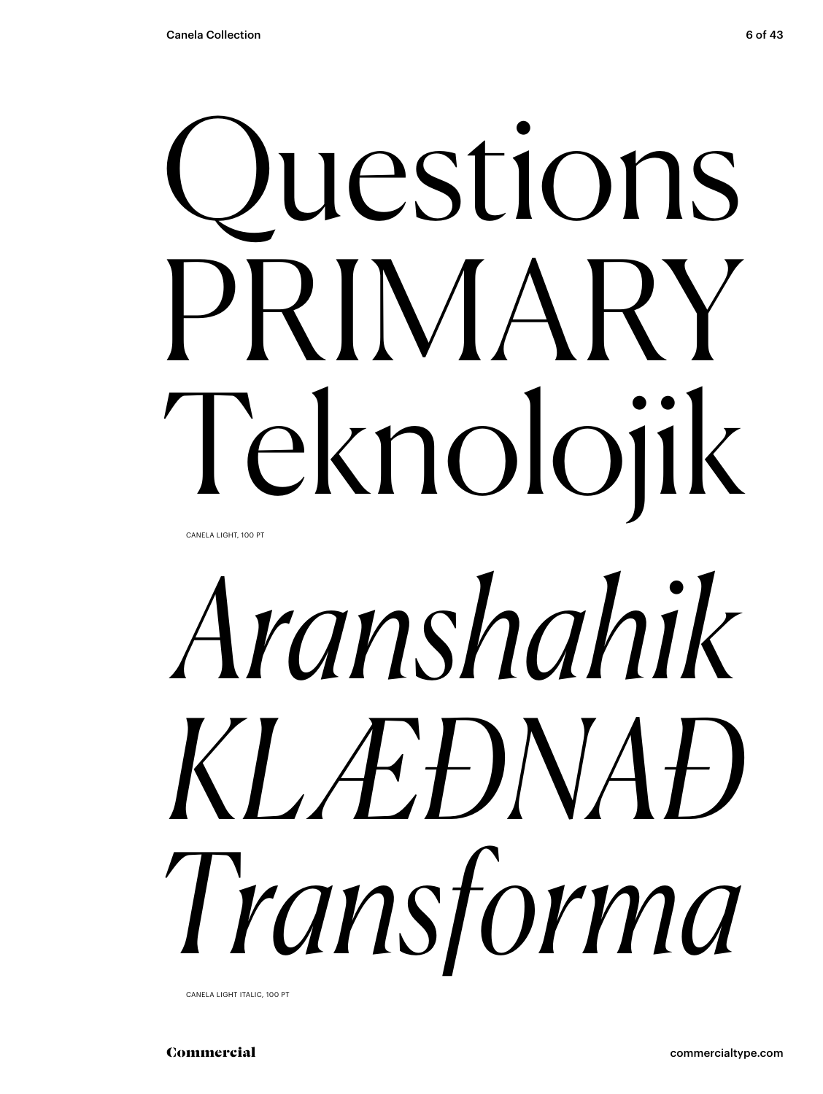# Questions PRIMARY Teknolojik

CANELA LIGHT, 100 PT

# *Aranshahik KLÆÐNAÐ Transforma*

CANELA LIGHT ITALIC, 100 PT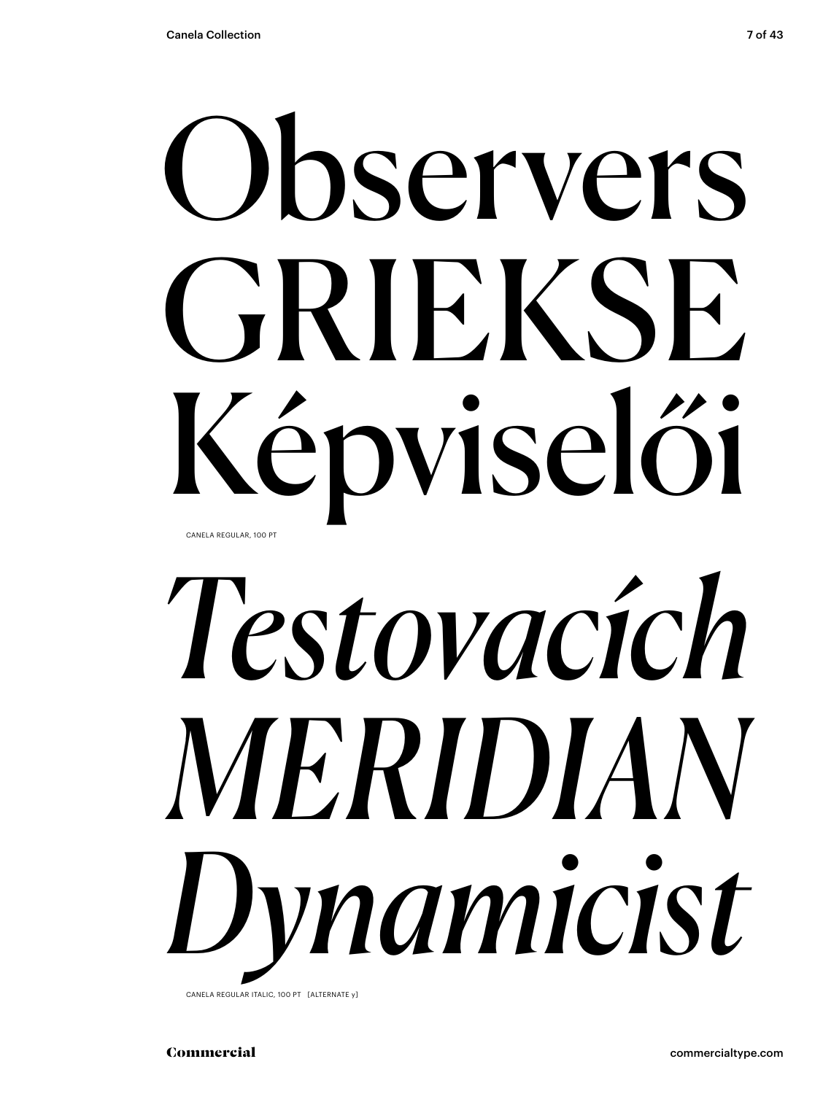# Observers GRIEKSE

Képviselői CANELA REGULAR, 100 PT

# *Testovacích MERIDIAN Dynamicist*

CANELA REGULAR ITALIC, 100 PT [ALTERNATE y]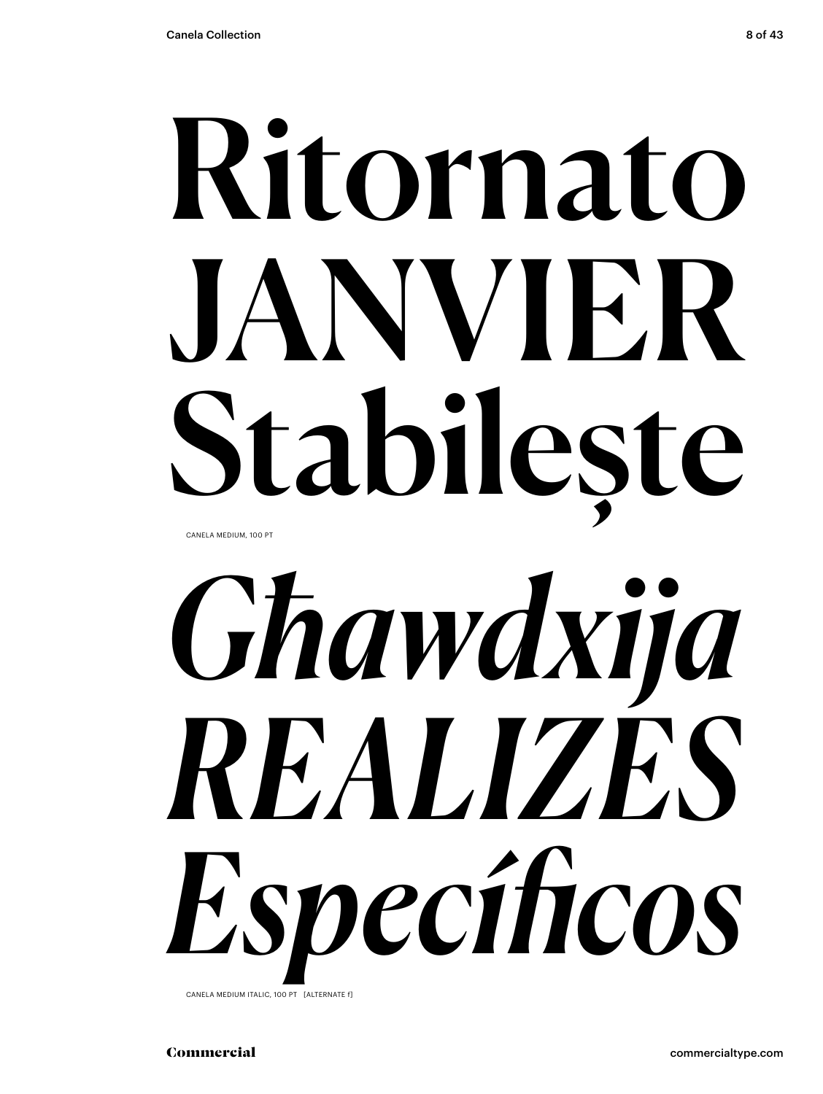# Ritornato JANVIER Stabilește CANELA MEDIUM, 100 PT



CANELA MEDIUM ITALIC, 100 PT [ALTERNATE f]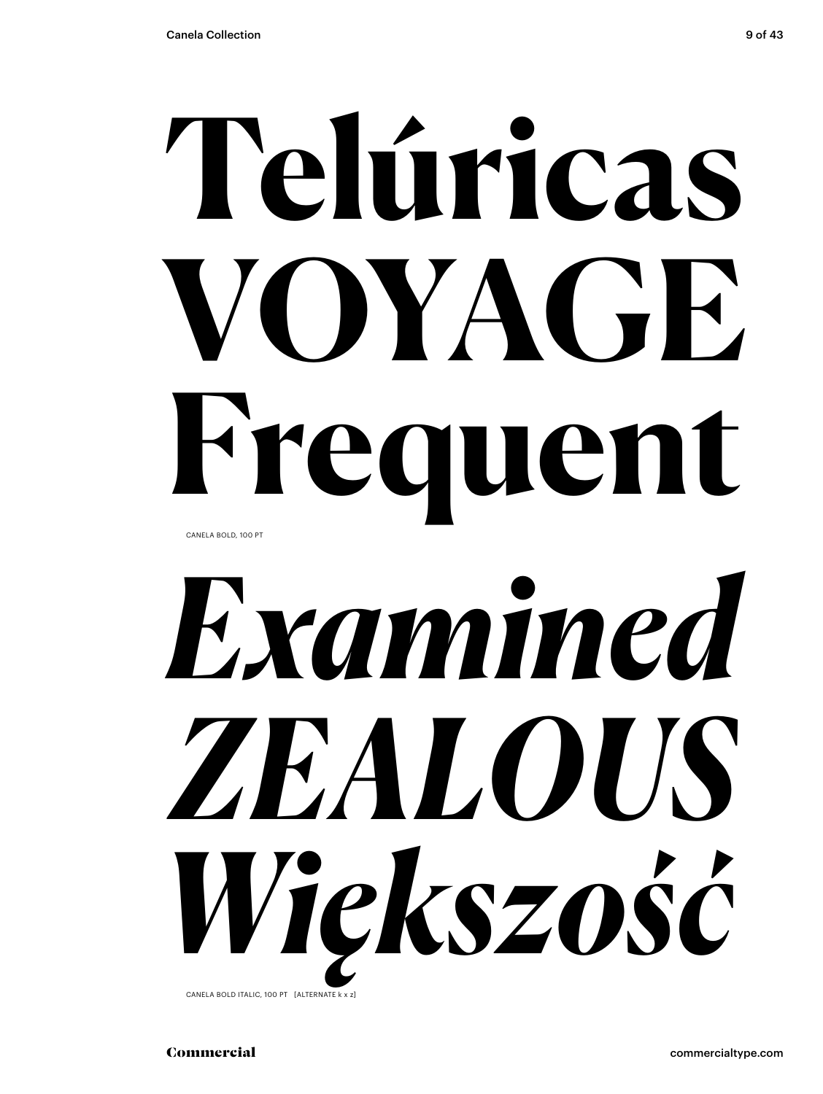# **Telúricas VOYAGE Frequent** CANELA BOLD, 100 PT



CANELA BOLD ITALIC, 100 PT [ALTERNATE k x z]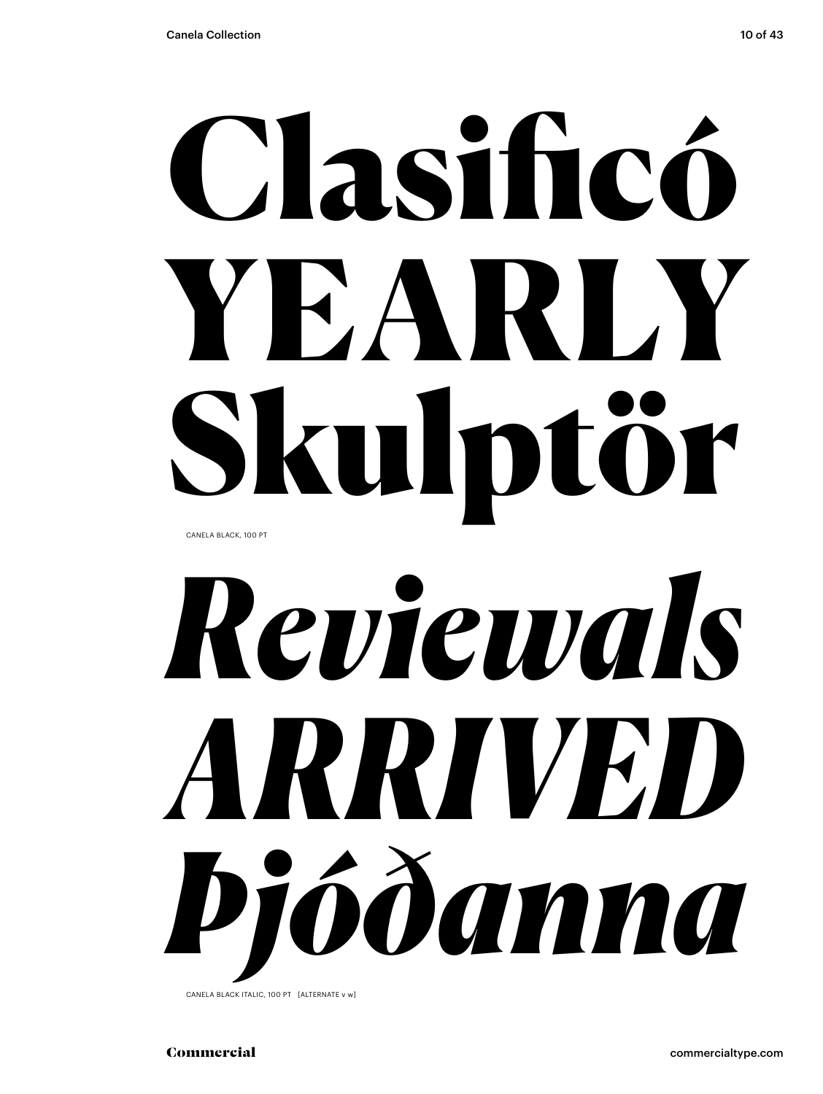# Clasificó YEARLY Skulptör CANELA BLACK, 100 PT

# *Reviewals ARRIVED Þjóðanna*

CANELA BLACK ITALIC, 100 PT [ALTERNATE v w]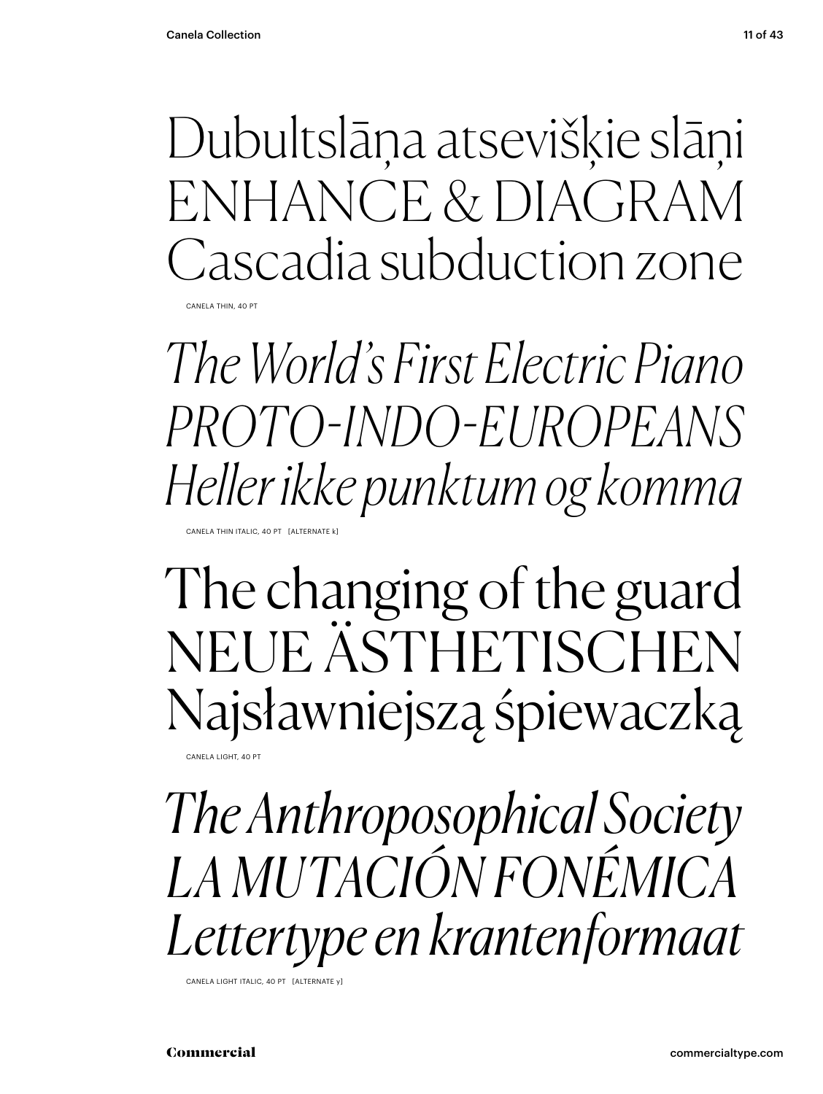Dubultslāņa atsevišķie slāņi ENHANCE & DIAGRAM Cascadia subduction zone

CANELA THIN, 40 PT

*The World's First Electric Piano PROTO-INDO-EUROPEANS Heller ikke punktum og komma*

CANELA THIN ITALIC, 40 PT [ALTERNATE k

The changing of the guard NEUE ÄSTHETISCHEN Najsławniejszą śpiewaczką

CANELA LIGHT, 40 PT

*The Anthroposophical Society LA MUTACIÓN FONÉMICA Lettertype en krantenformaat*

CANELA LIGHT ITALIC, 40 PT [ALTERNATE y]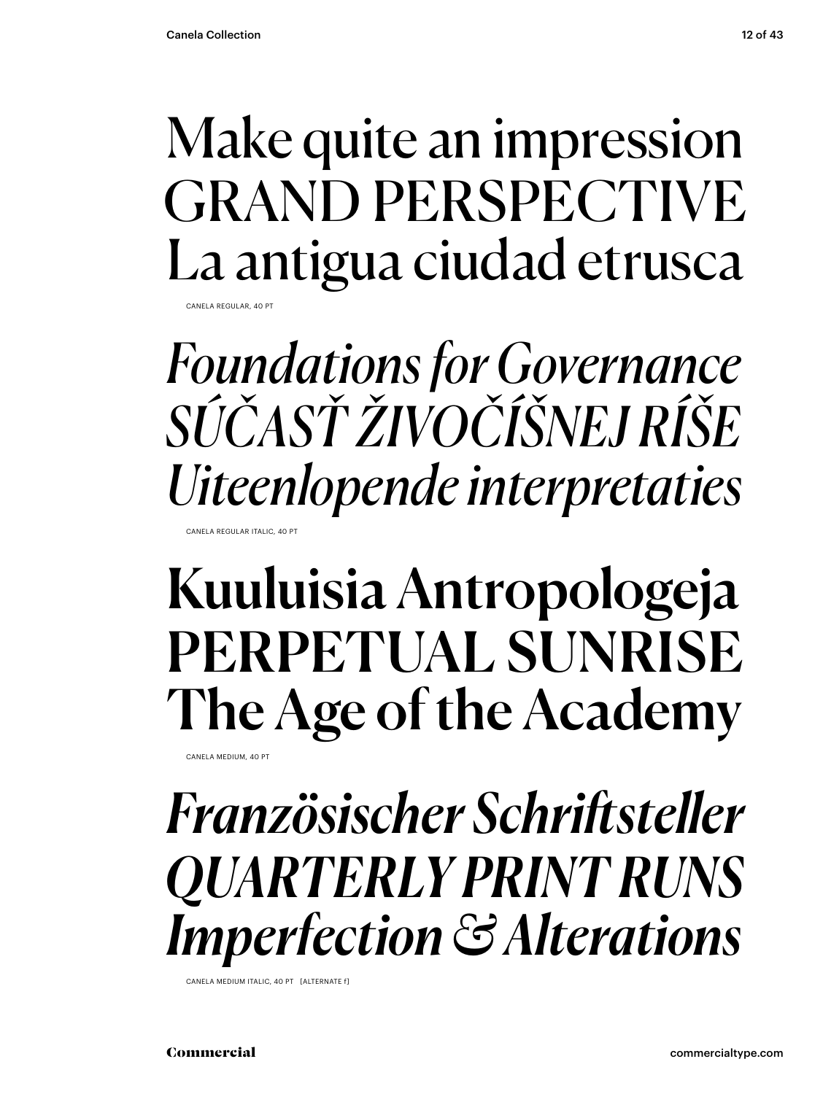## Make quite an impression GRAND PERSPECTIVE La antigua ciudad etrusca

CANELA REGULAR, 40 P

*Foundations for Governance SÚČASŤ ŽIVOČÍŠNEJ RÍŠE Uiteenlopende interpretaties*

CANELA REGULAR ITALIC, 40 PT

## Kuuluisia Antropologeja PERPETUAL SUNRISE The Age of the Academy

CANELA MEDIUM, 40 PT

### *Französischer Schriftsteller QUARTERLY PRINT RUNS Imperfection & Alterations*

CANELA MEDIUM ITALIC, 40 PT [ALTERNATE f]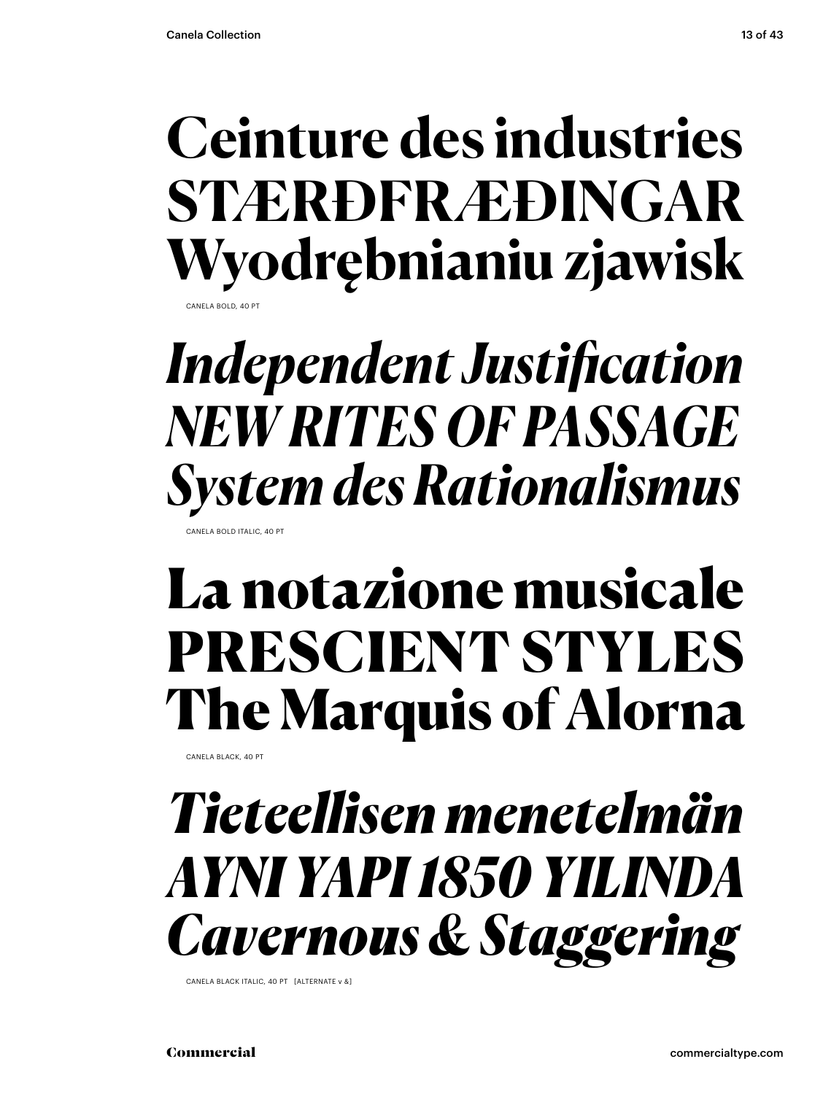### **Ceinture des industries STÆRÐFRÆÐINGAR Wyodrębnianiu zjawisk** CANELA BOLD, 40 PT

*Independent Justification NEW RITES OF PASSAGE System des Rationalismus*

CANELA BOLD ITALIC, 40 PT

## La notazione musicale PRESCIENT STYLES The Marquis of Alorna

CANELA BLACK, 40 PT

## *Tieteellisen menetelmän AYNI YAPI 1850 YILINDA Cavernous & Staggering*

CANELA BLACK ITALIC, 40 PT [ALTERNATE v &]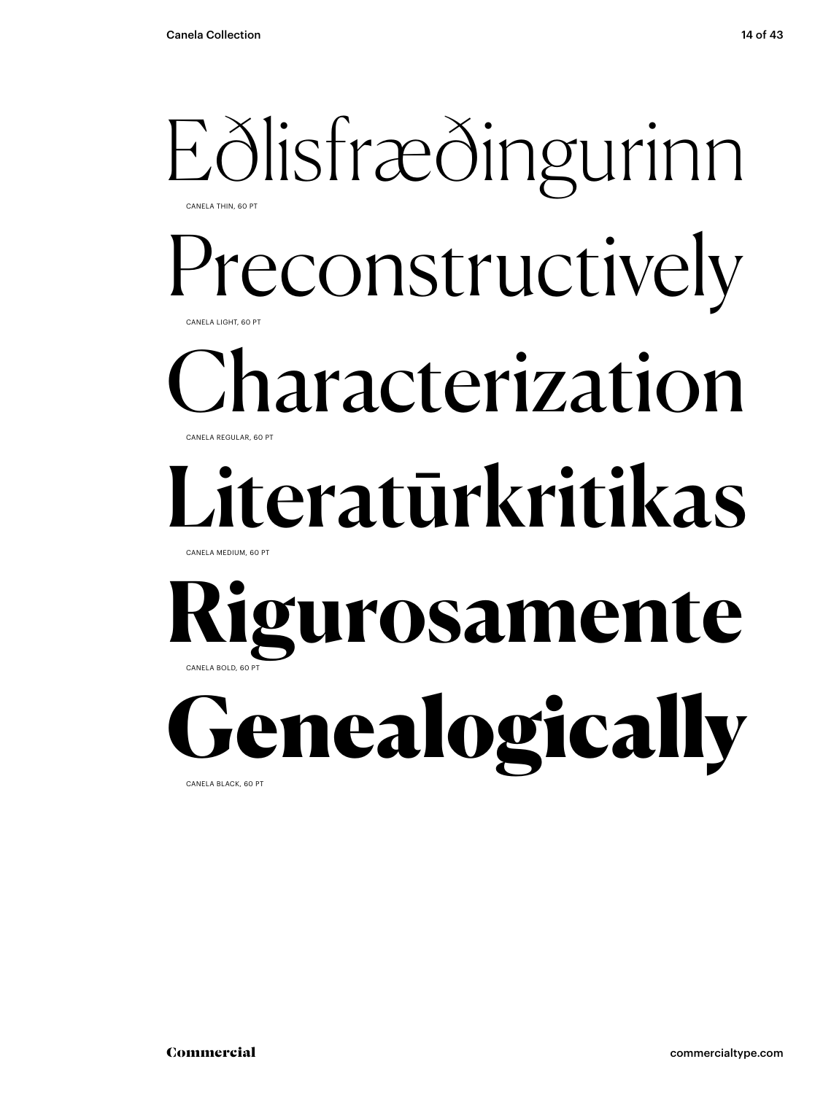### Eðlisfræðingurinn CANELA THIN, 60 PT

Preconstructively CANELA LIGHT, 60 PT

### Characterization CANELA REGULAR, 60 PT

# Literatūrkritikas

CANELA MEDIUM, 60 PT

### **Rigurosamente** CANELA BOLD, 60 PT

**ienealogically** CANELA BLACK, 60 PT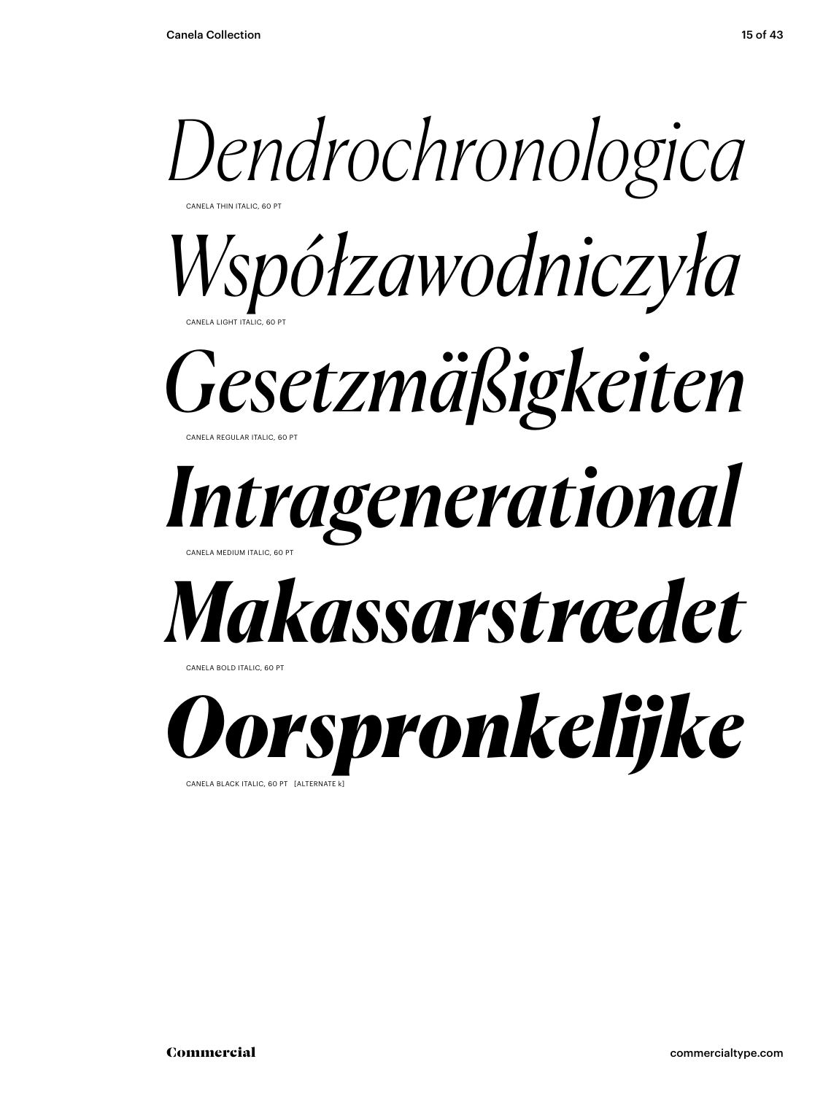

CANELA BLACK ITALIC, 60 PT [ALTERNATE K]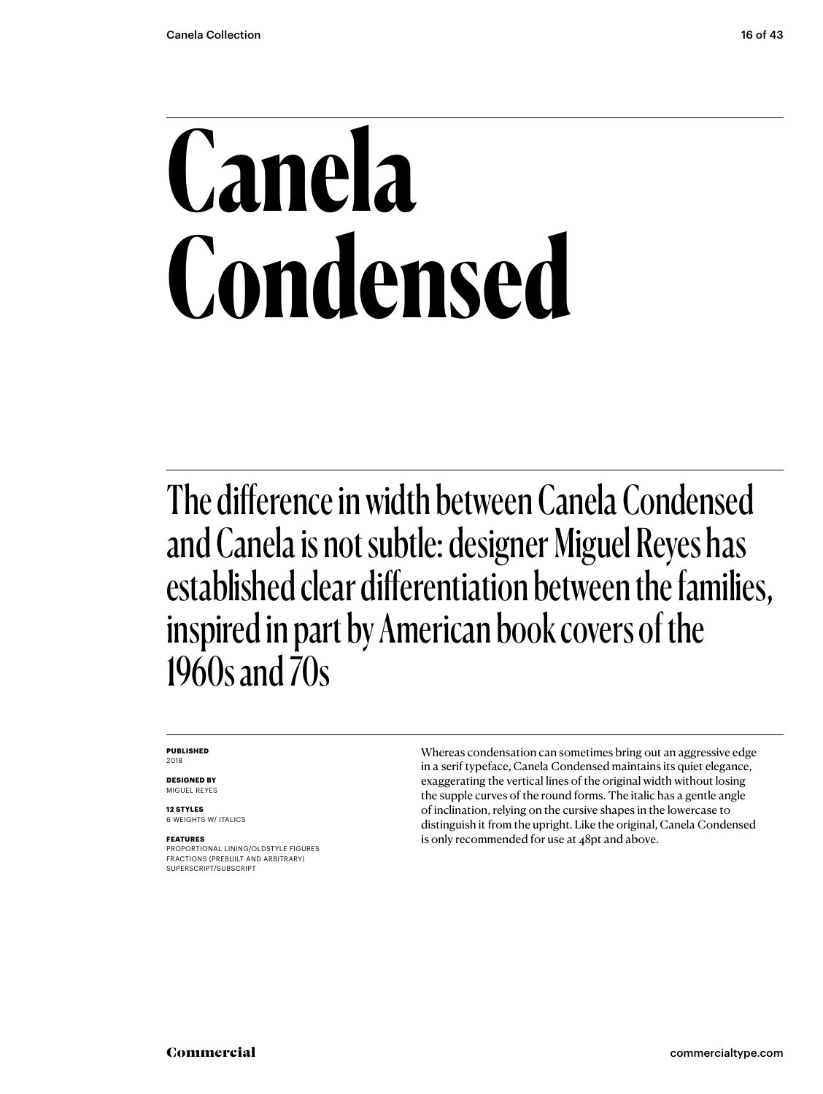# **Canela Condensed**

The difference in width between Canela Condensed and Canela is not subtle: designer Miguel Reyes has established clear differentiation between the families, inspired in part by American book covers of the 1960s and 70s

#### **PUBLISHED** 2018

**DESIGNED BY**

MIGUEL REYES

**12 STYLES** 6 WEIGHTS W/ ITALICS

### **FEATURES**

PROPORTIONAL LINING/OLDSTYLE FIGURES FRACTIONS (PREBUILT AND ARBITRARY) SUPERSCRIPT/SUBSCRIPT

Whereas condensation can sometimes bring out an aggressive edge in a serif typeface, Canela Condensed maintains its quiet elegance, exaggerating the vertical lines of the original width without losing the supple curves of the round forms. The italic has a gentle angle of inclination, relying on the cursive shapes in the lowercase to distinguish it from the upright. Like the original, Canela Condensed is only recommended for use at 48pt and above.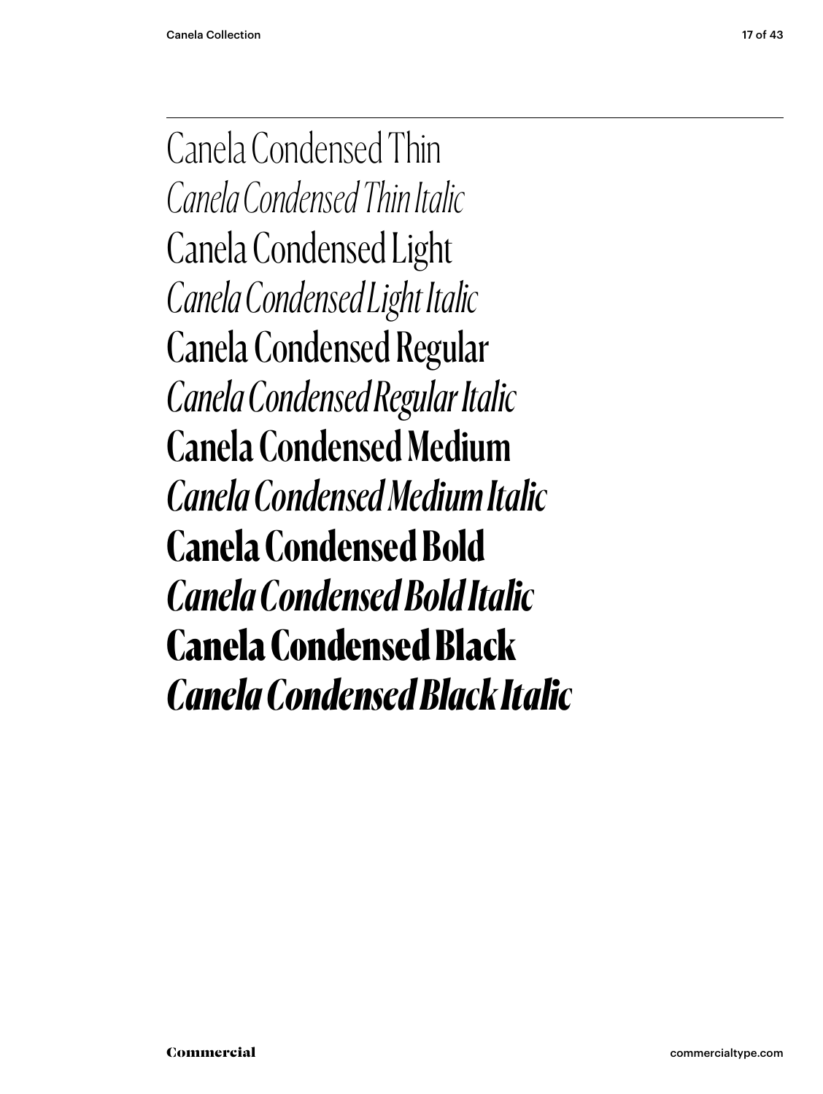Canela Condensed Thin *Canela Condensed Thin Italic* Canela Condensed Light *Canela Condensed Light Italic* Canela Condensed Regular *Canela Condensed Regular Italic* Canela Condensed Medium *Canela Condensed Medium Italic* **Canela Condensed Bold** *Canela Condensed Bold Italic* Canela Condensed Black *Canela Condensed Black Italic*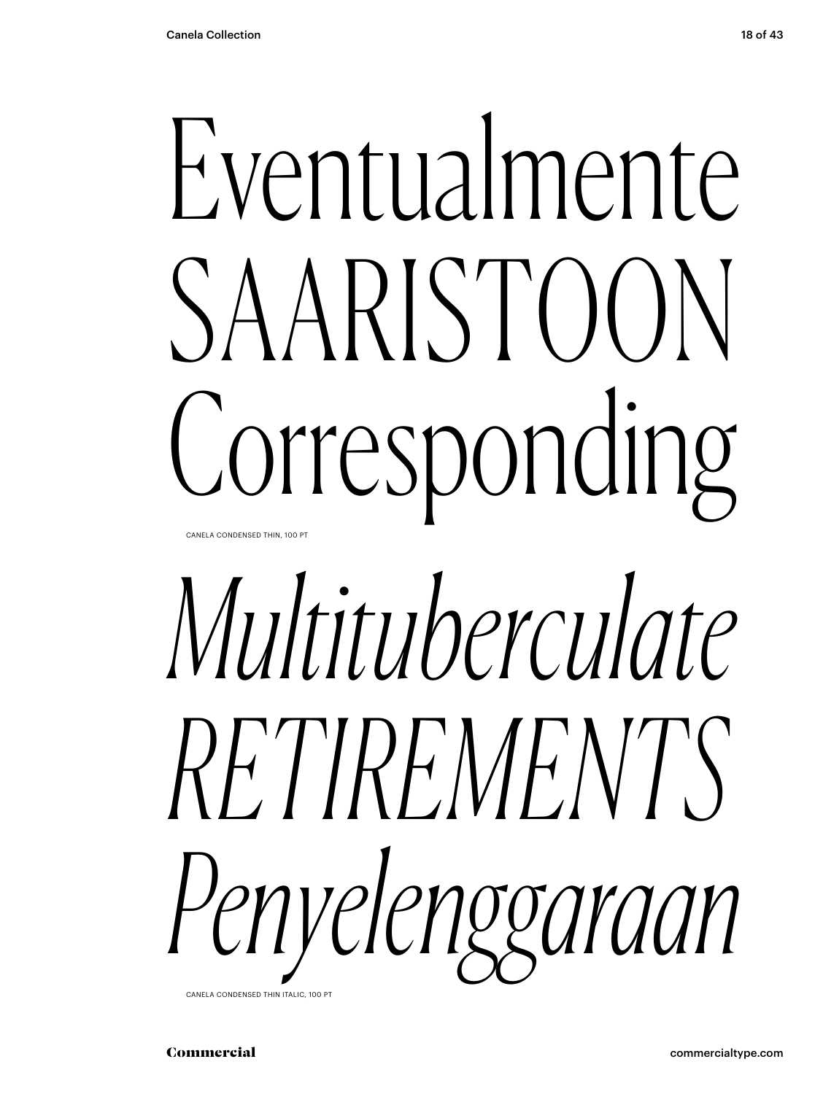# Eventualmente SAARISTOON Corresponding CANELA CONDENSED THIN, 100 PT

# *Multituberculate RETIREMENTS Penyelenggaraan*

CANELA CONDENSED THIN ITALIC, 100 PT

Commercial commercialtype.com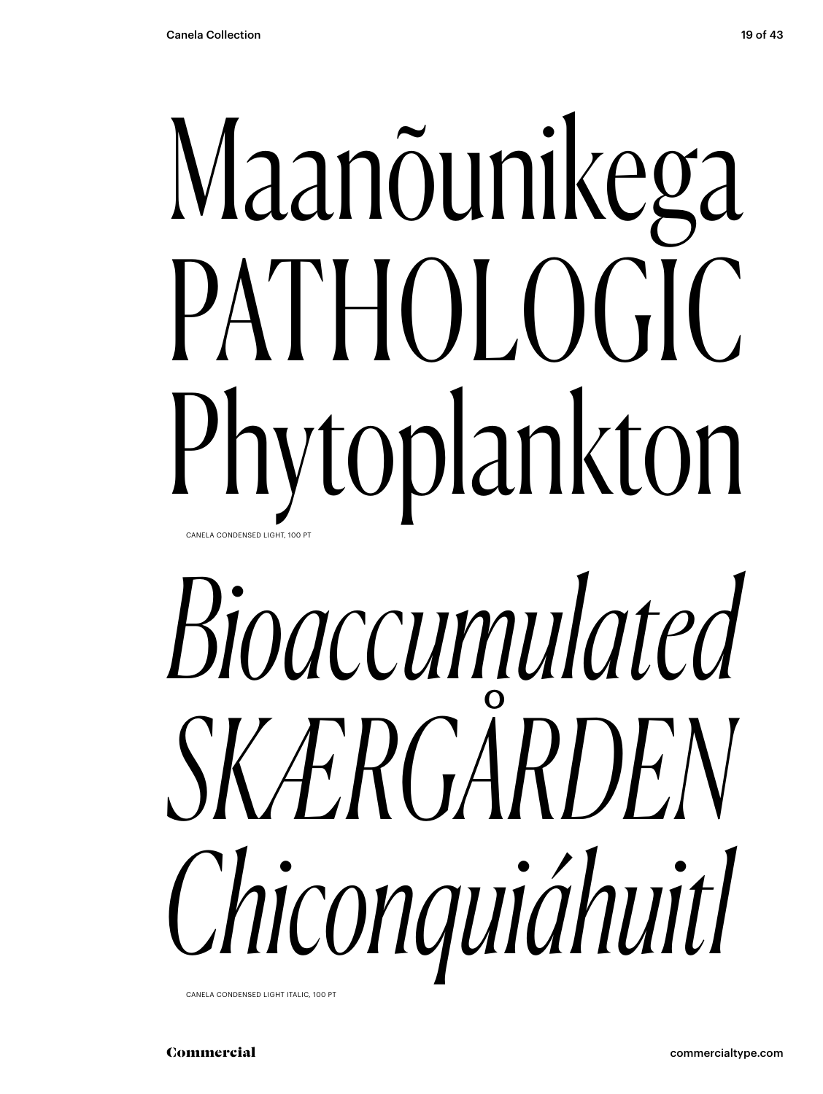# Maanõunikega PATHOLOGIC Phytoplankton CANELA CONDENSED LIGHT, 100 PT

# *Bioaccumulated SKÆRGÅRDEN Chiconquiáhuitl*

CANELA CONDENSED LIGHT ITALIC, 100 PT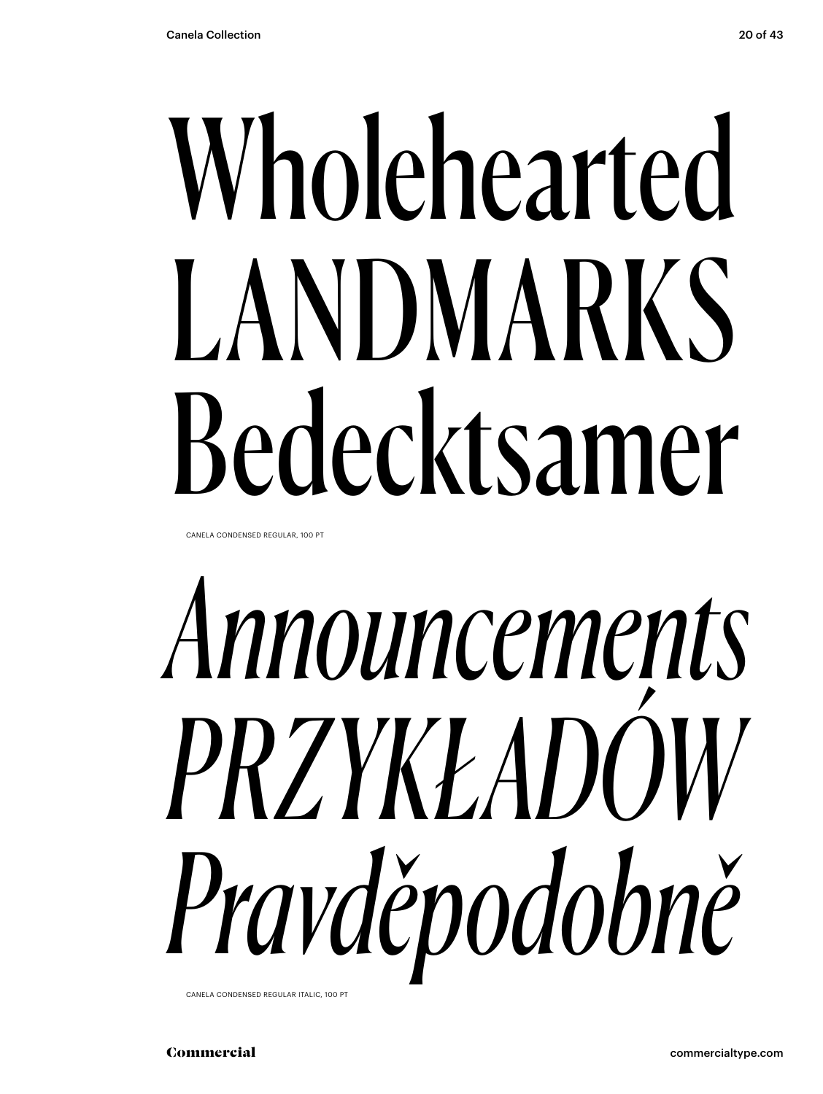# Wholehearted LANDMARKS Bedecktsamer

CANELA CONDENSED REGULAR, 100 PT

# *Announcements PRZYKŁADÓW Pravděpodobně*

CANELA CONDENSED REGULAR ITALIC, 100 PT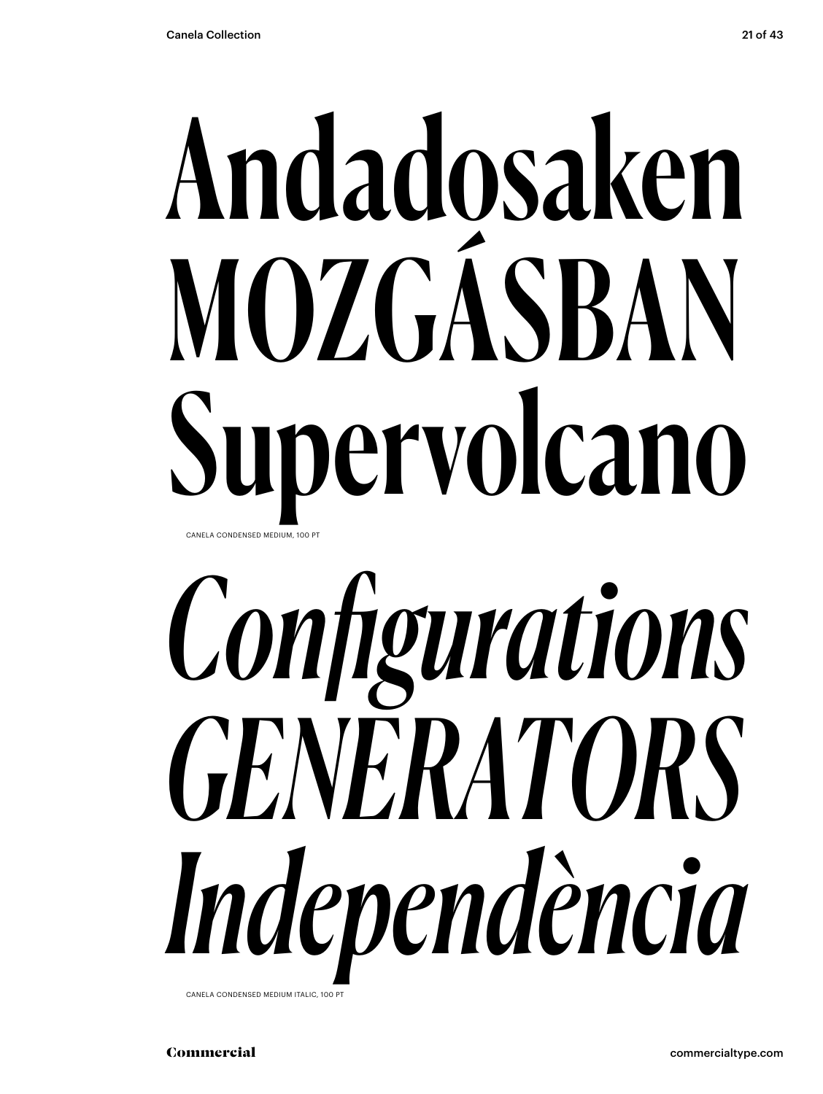# Andadosaken MOZGÁSBAN Supervolcano CANELA CONDENSED MEDIUM, 100 PT

# *Configurations GENERATORS Independència*

CANELA CONDENSED MEDIUM ITALIC, 100 PT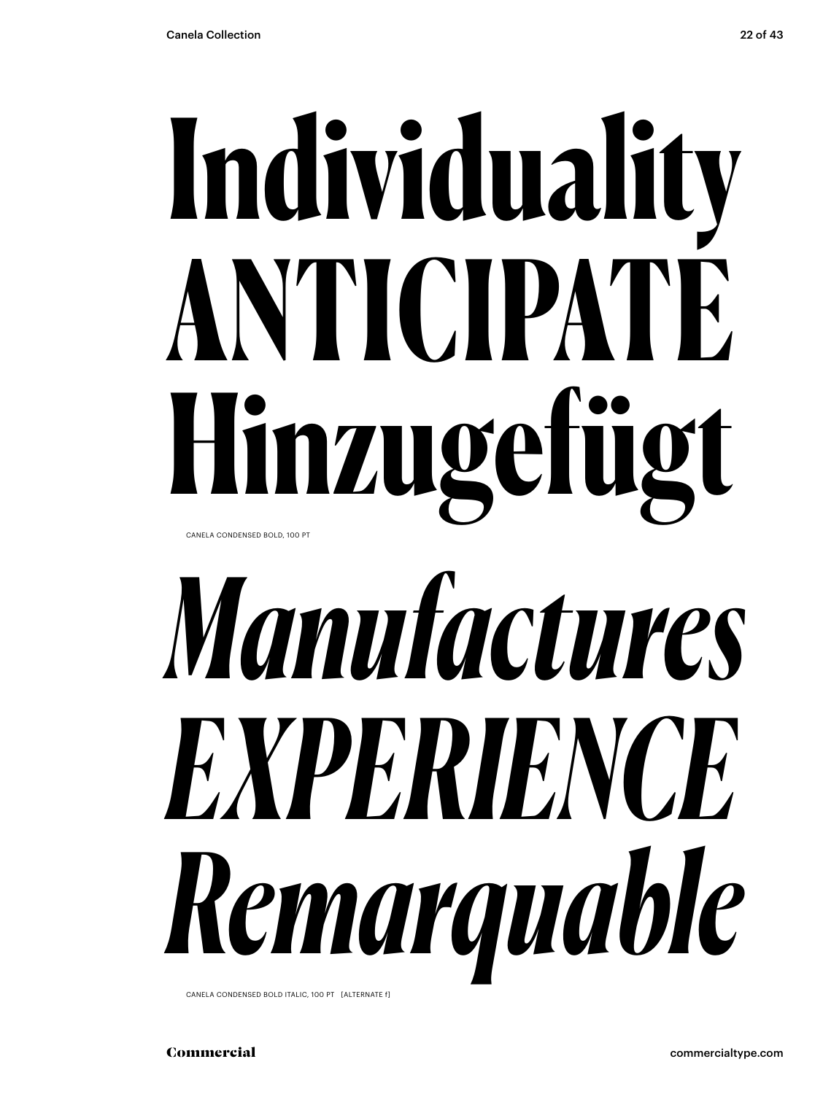# **Individuality ANTICIPATE Hinzugefügt** CANELA CONDENSED BOLD, 100 PT

# *Manufactures EXPERIENCE Remarquable*

CANELA CONDENSED BOLD ITALIC, 100 PT [ALTERNATE f]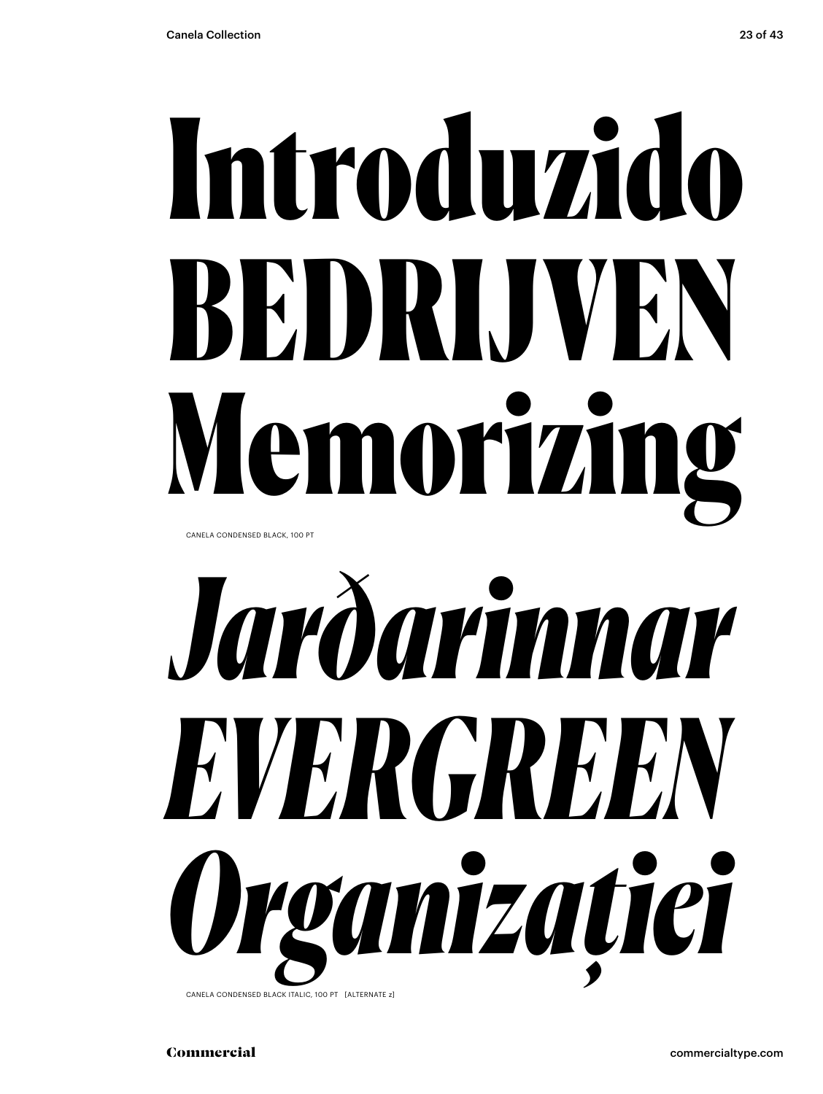# Introduzido BEDRIJVEN Memorizing

CANELA CONDENSED BLACK, 100 PT



CANELA CONDENSED BLACK ITALIC, 100 PT [ALTERNATE z]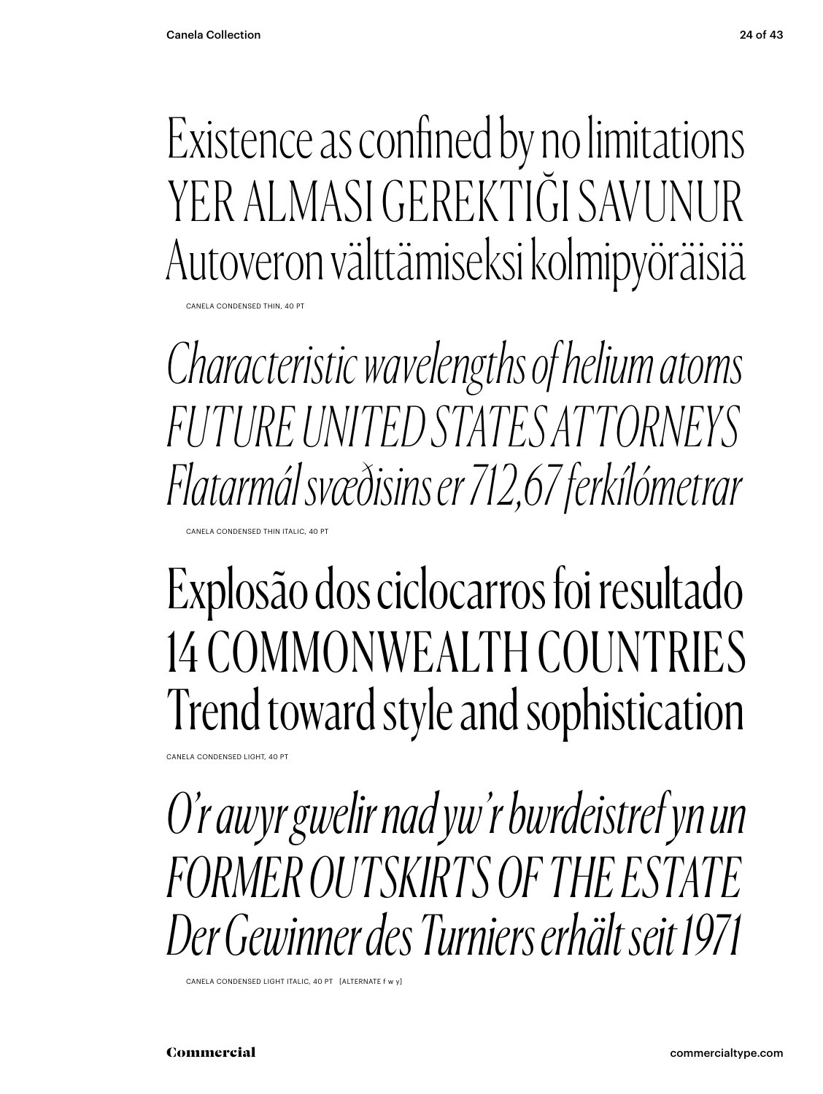Existence as confined by no limitations YER ALMASI GEREKTIĞI SAVI INI IR Autoveron välttämiseksi kolmipyöräisiä

CANELA CONDENSED THIN, 40 PT

*Characteristic wavelengths of helium atoms FUTURE UNITED STATES ATTORNEYS Flatarmál svæðisins er 712,67 ferkílómetrar*

CANELA CONDENSED THIN ITALIC, 40 PT

## Explosão dos ciclocarros foi resultado 14 COMMONWEALTH COUNTRIES Trend toward style and sophistication

CANELA CONDENSED LIGHT, 40 PT

*O'r awyr gwelir nad yw'r bwrdeistref yn un FORMER OUTSKIRTS OF THE ESTATE Der Gewinner des Turniers erhält seit 1971*

CANELA CONDENSED LIGHT ITALIC, 40 PT [ALTERNATE f w y]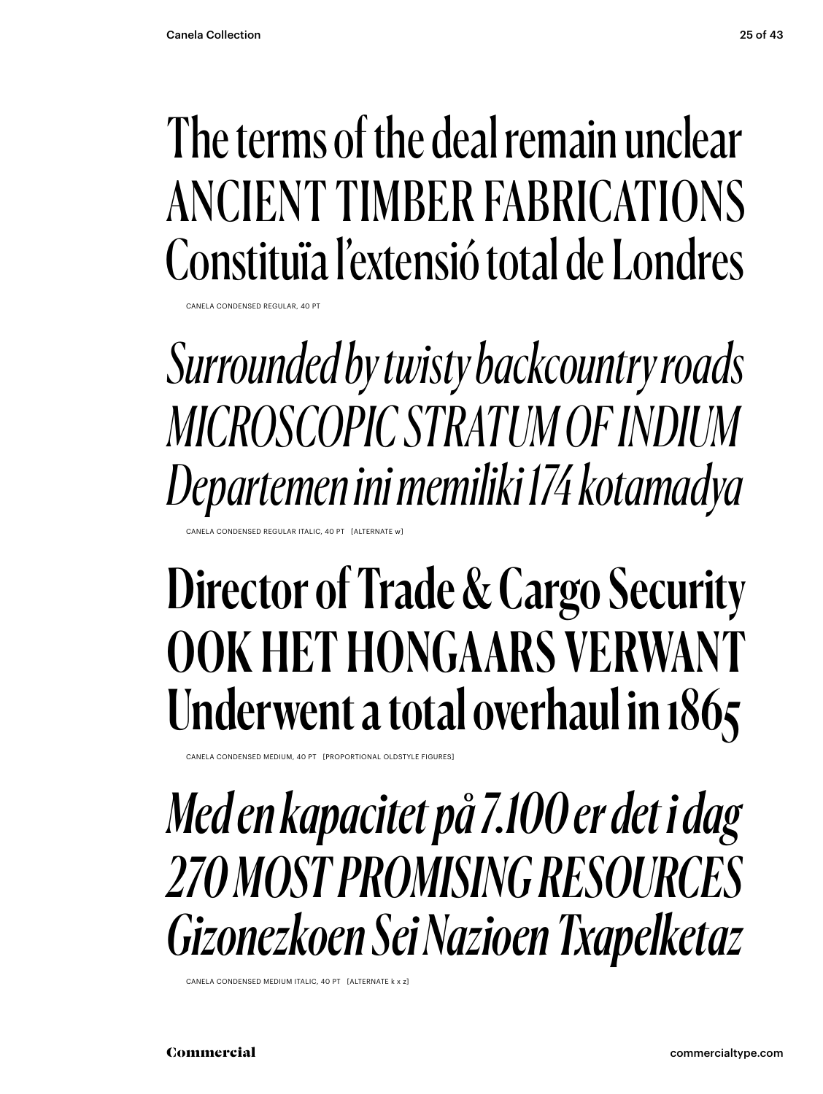## The terms of the deal remain unclear ANCIENT TIMBER FABRICATIONS Constituïa l'extensió total de Londres

CANELA CONDENSED REGULAR, 40 PT

*Surrounded by twisty backcountry roads MICROSCOPIC STRATUM OF INDIUM Departemen ini memiliki 174 kotamadya*

CONDENSED REGULAR ITALIC, 40 PT [ALTERNATE

## Director of Trade & Cargo Security OOK HET HONGAARS VERWANT Underwent a total overhaul in 1865

CANELA CONDENSED MEDIUM, 40 PT [PROPORTIONAL OLDSTYLE FIGURES]

*Med en kapacitet på 7.100 er det i dag 270 MOST PROMISING RESOURCES Gizonezkoen Sei Nazioen Txapelketaz*

CANELA CONDENSED MEDIUM ITALIC, 40 PT [ALTERNATE k x z]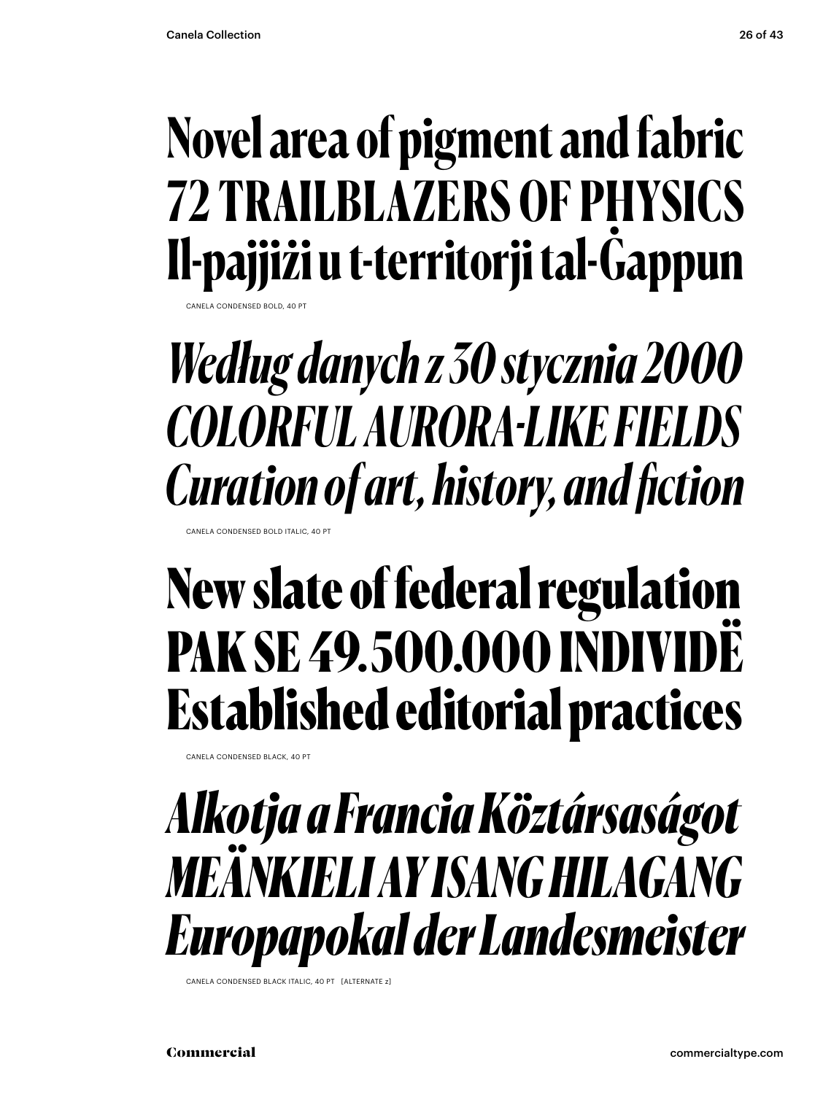## **Novel area of pigment and fabric 72 TRAILBLAZERS OF PHYSICS Il-pajjiżi u t-territorji tal-Ġappun**

CANELA CONDENSED BOLD, 40 PT

*Według danych z 30 stycznia 2000 COLORFUL AURORA-LIKE FIELDS Curation of art, history, and fiction*

CANELA CONDENSED BOLD ITALIC, 40 PT

## New slate of federal regulation PAK SE 49. 500.000 INDIVIDË Established editorial practices

CANELA CONDENSED BLACK, 40 PT

### *Alkotja a Francia Köztársaságot MEÄNKIELI AY ISANG HILAGANG Europapokal der Landesmeister*

CANELA CONDENSED BLACK ITALIC, 40 PT [ALTERNATE 7]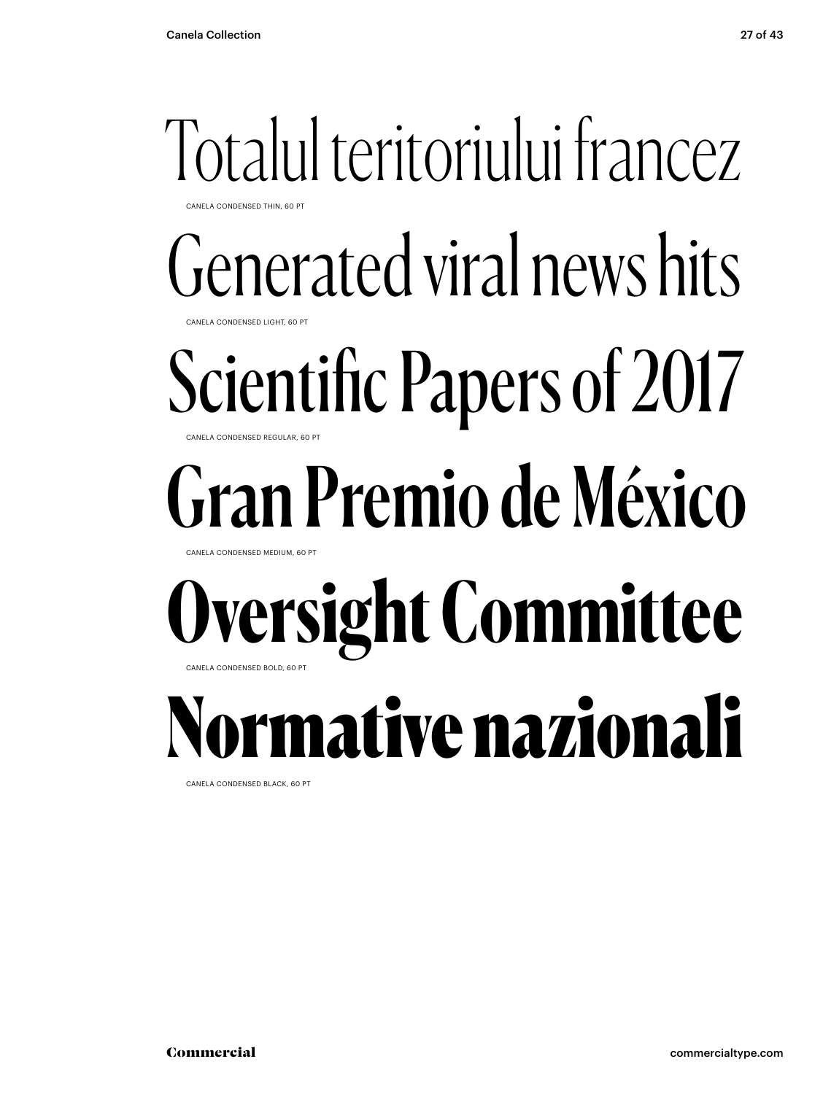### Totalul teritoriului francez CANELA CONDENSED THIN, 60 PT

Generated viral news hits

CANELA CONDENSED LIGHT, 60 PT

### Scientific Papers of 2017 CANELA CONDENSED REGULAR, 60 PT

# Gran Premio de México

CANELA CONDENSED MEDIUM, 60 PT

### **Oversight Committee** CANELA CONDENSED BOLD, 60 PT

Normative nazionali

CANELA CONDENSED BLACK, 60 PT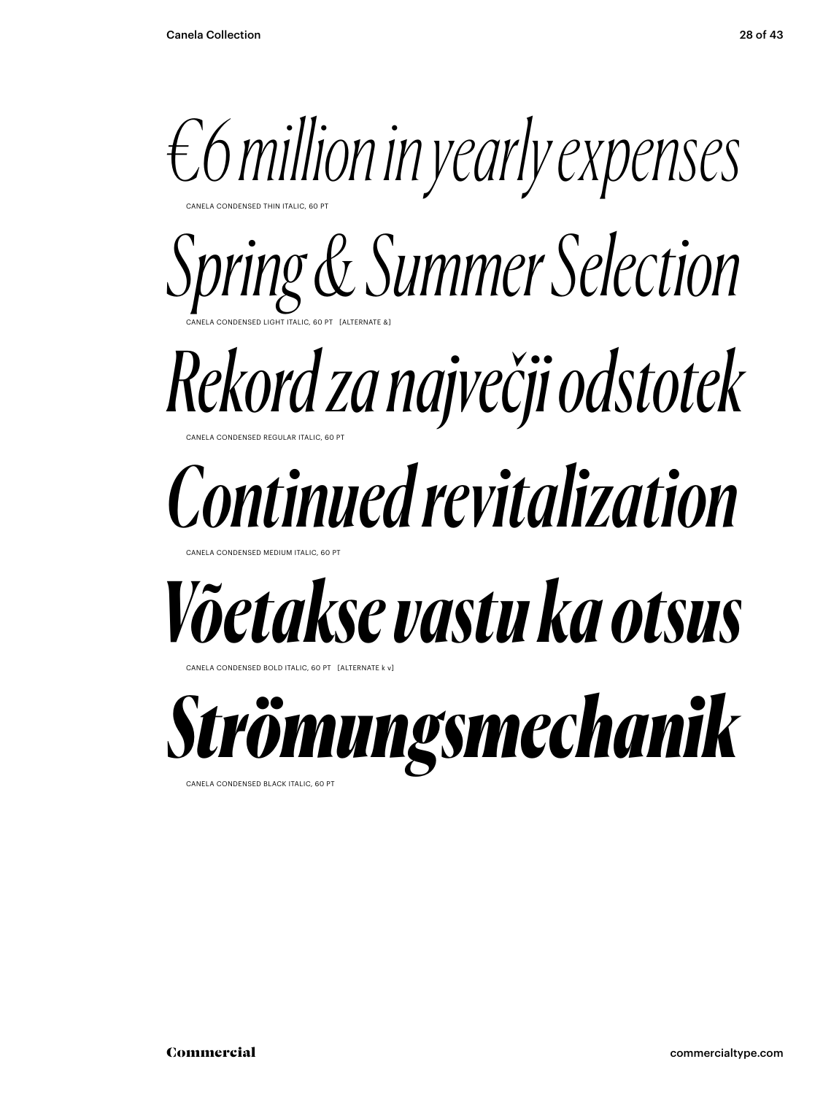

CANELA CONDENSED THIN ITALIC, 60 PT

CANELA CONDENSED LIGHT ITALIC, 60 PT [ALTERNATE &] *Spring & Summer Selection*

### **NELA CONDENSED REGULAR ITALIC, 60 PT** *Rekord za največji odstotek*

# *Continued revitalization*

CANELA CONDENSED MEDIUM ITALIC

# *Võetakse vastu ka otsus*

ANELA CONDENSED BOLD ITALIC, 60 PT [ALTERNATE k v]



CANELA CONDENSED BLACK ITALIC, 60 PT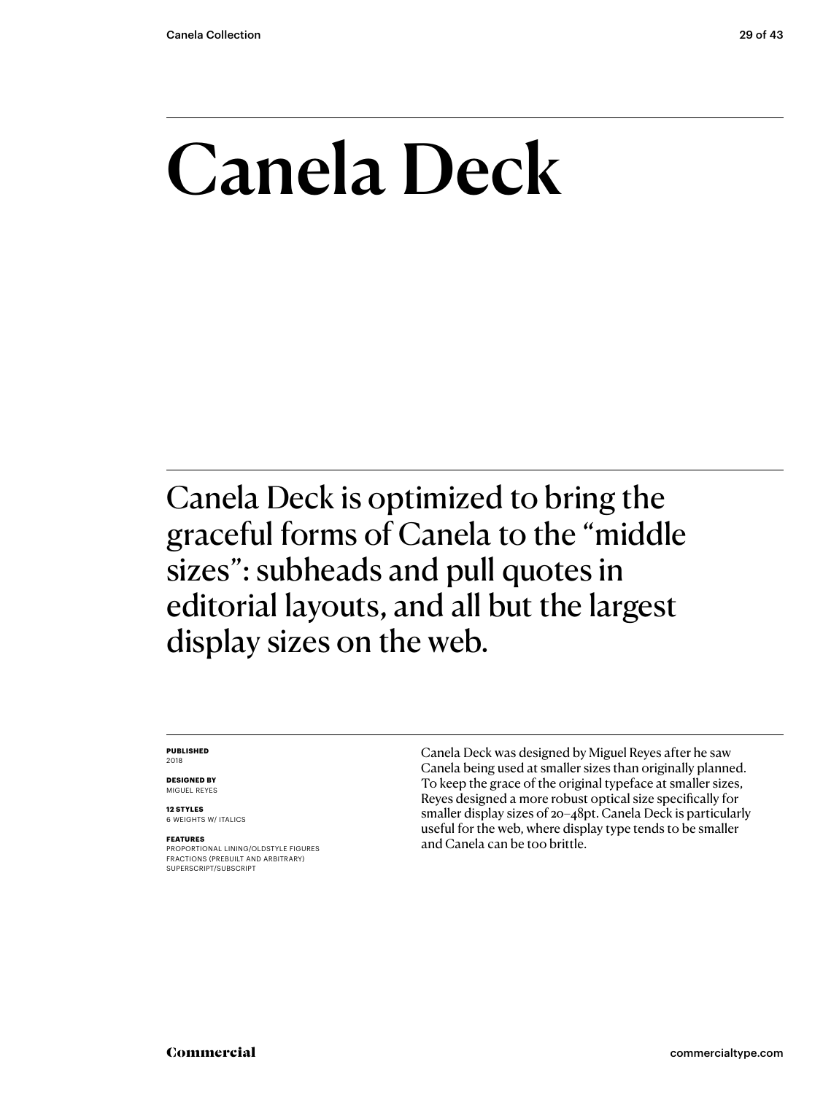## Canela Deck

Canela Deck is optimized to bring the graceful forms of Canela to the "middle sizes": subheads and pull quotes in editorial layouts, and all but the largest display sizes on the web.

#### **PUBLISHED** 2018

**DESIGNED BY** MIGUEL REYES

**12 STYLES** 6 WEIGHTS W/ ITALICS

#### **FEATURES**

PROPORTIONAL LINING/OLDSTYLE FIGURES FRACTIONS (PREBUILT AND ARBITRARY) SUPERSCRIPT/SUBSCRIPT

Canela Deck was designed by Miguel Reyes after he saw Canela being used at smaller sizes than originally planned. To keep the grace of the original typeface at smaller sizes, Reyes designed a more robust optical size specifically for smaller display sizes of 20–48pt. Canela Deck is particularly useful for the web, where display type tends to be smaller and Canela can be too brittle.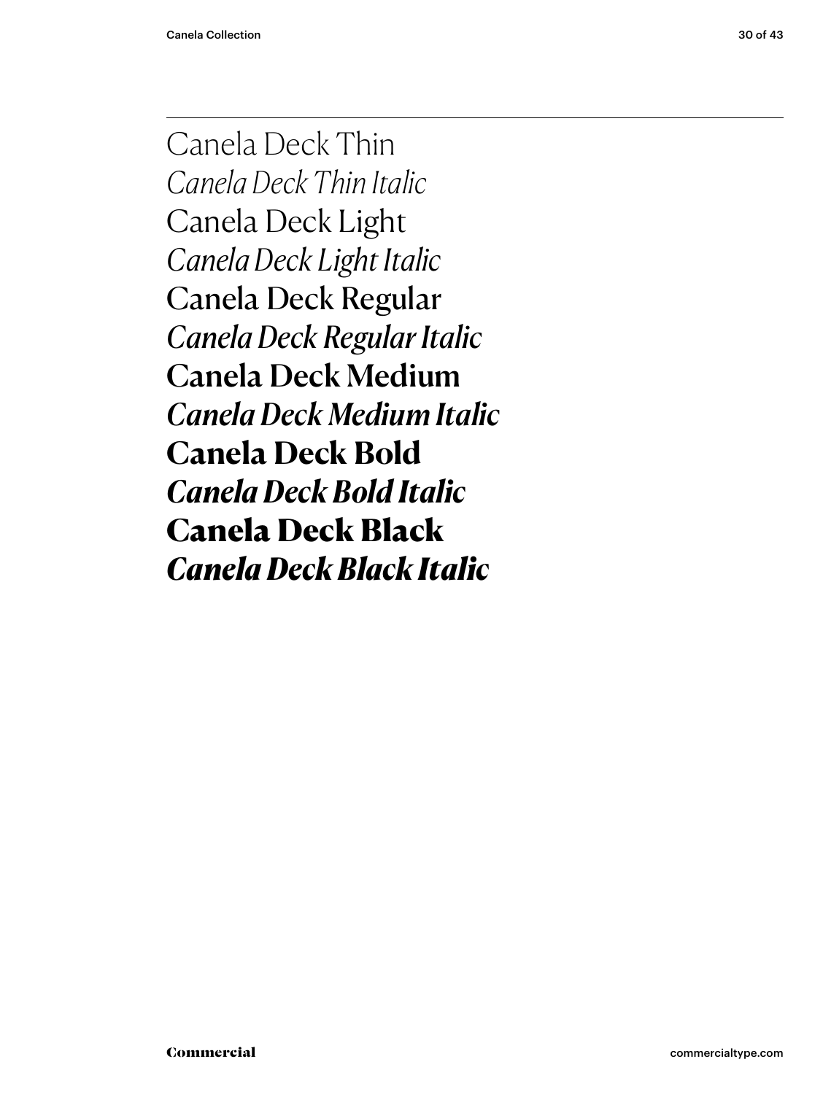Canela Deck Thin *Canela Deck Thin Italic* Canela Deck Light *Canela Deck Light Italic* Canela Deck Regular *Canela Deck Regular Italic* Canela Deck Medium *Canela Deck Medium Italic* **Canela Deck Bold** *Canela Deck Bold Italic* Canela Deck Black *Canela Deck Black Italic*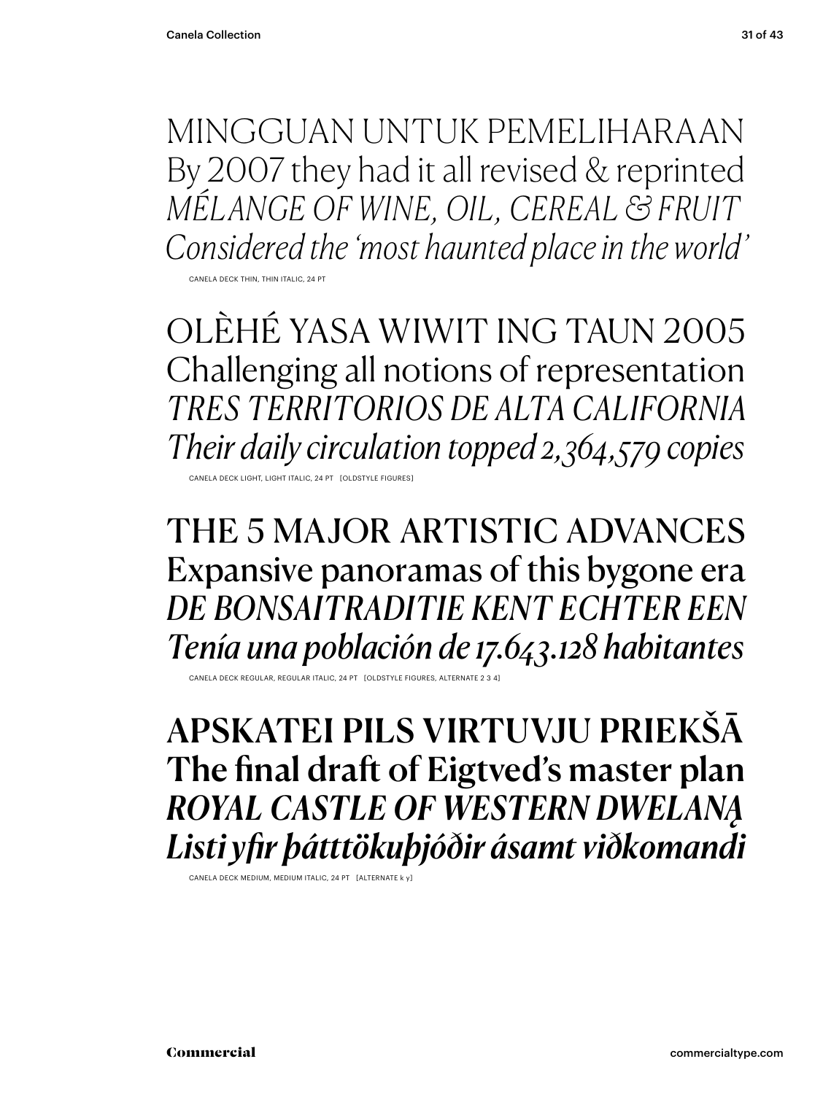MINGGUAN UNTUK PEMELIHARAAN By 2007 they had it all revised & reprinted *MÉLANGE OF WINE, OIL, CEREAL & FRUIT Considered the 'most haunted place in the world'*

CANELA DECK THIN, THIN ITALIC, 24 PT

OLÈHÉ YASA WIWIT ING TAUN 2005 Challenging all notions of representation *TRES TERRITORIOS DE ALTA CALIFORNIA Their daily circulation topped 2,364,579 copies*

CANELA DECK LIGHT, LIGHT ITALIC, 24 PT [OLDSTYLE F

THE 5 MAJOR ARTISTIC ADVANCES Expansive panoramas of this bygone era *DE BONSAITRADITIE KENT ECHTER EEN Tenía una población de 17.643.128 habitantes*

CANELA DECK REGULAR, REGULAR ITALIC, 24 PT [OLDSTYLE FIGURES, ALTERNATE 2 3 4]

APSKATEI PILS VIRTUVJU PRIEKŠĀ The final draft of Eigtved's master plan *ROYAL CASTLE OF WESTERN DWELANĄ Listi yfir þátttökuþjóðir ásamt viðkomandi*

CANELA DECK MEDIUM, MEDIUM ITALIC, 24 PT [ALTERNATE k y]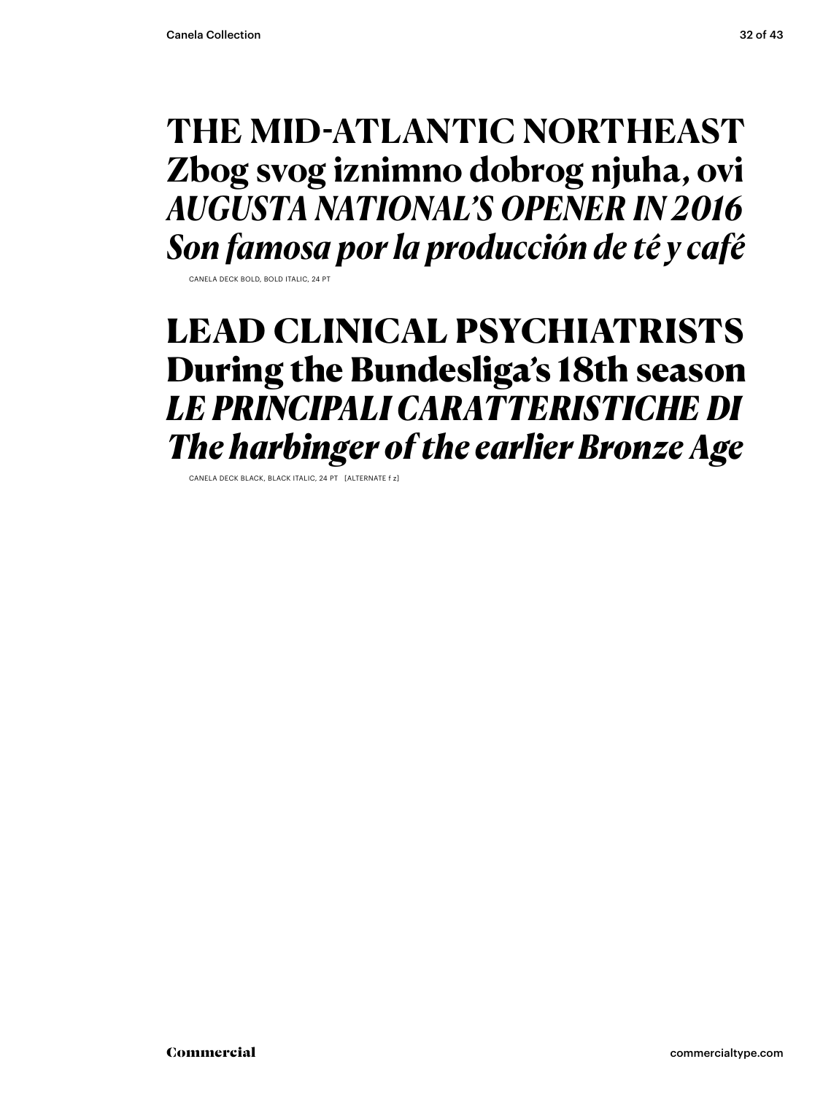### **THE MID-ATLANTIC NORTHEAST Zbog svog iznimno dobrog njuha, ovi** *AUGUSTA NATIONAL'S OPENER IN 2016 Son famosa por la producción de té y café*

CANELA DECK BOLD, BOLD ITALIC, 24 PT

### LEAD CLINICAL PSYCHIATRISTS During the Bundesliga's 18th season *LE PRINCIPALI CARATTERISTICHE DI The harbinger of the earlier Bronze Age*

CANELA DECK BLACK, BLACK ITALIC, 24 PT [ALTERNATE f z]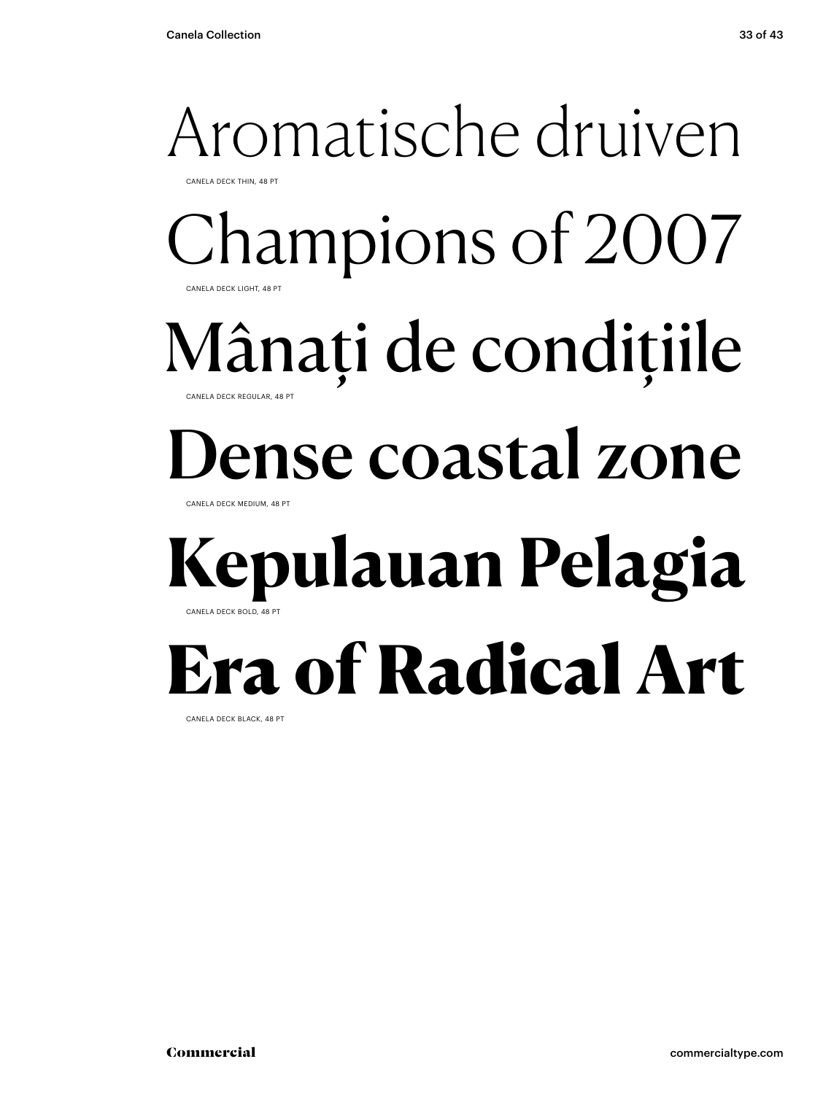### Aromatische druiven CANELA DECK THIN, 48 PT Champions of 2007 CANELA DECK LIGHT, 48 PT

Mânați de condițiile

CANELA DECK REGULAR, 48 PT

## ense coastal zone

CANELA DECK MEDIUM, 48 PT

### **Kepulauan Pelagia** CANELA DECK BOLD, 48 PT

## Era of Radical Art

CANELA DECK BLACK, 48 PT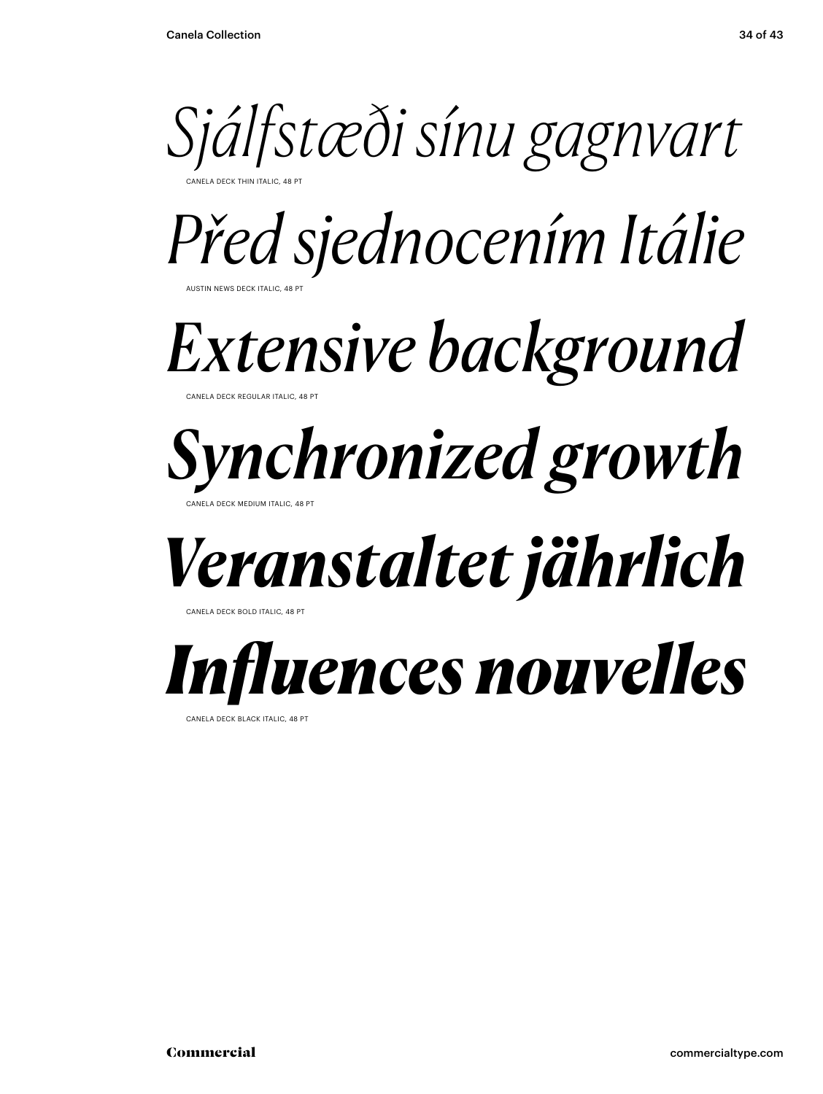

*Před sjednocením Itálie*

AUSTIN NEWS DECK ITALIC, 48 PT

## *Extensive background*

CANELA DECK REGULAR ITALIC, 48 PT

### *Synchronized growth* CANELA DECK MEDIUM ITALIC, 48 PT

## *Veranstaltet jährlich*

CANELA DECK BOLD ITALIC, 48 PT

## *Influences nouvelles*

CANELA DECK BLACK ITALIC, 48 PT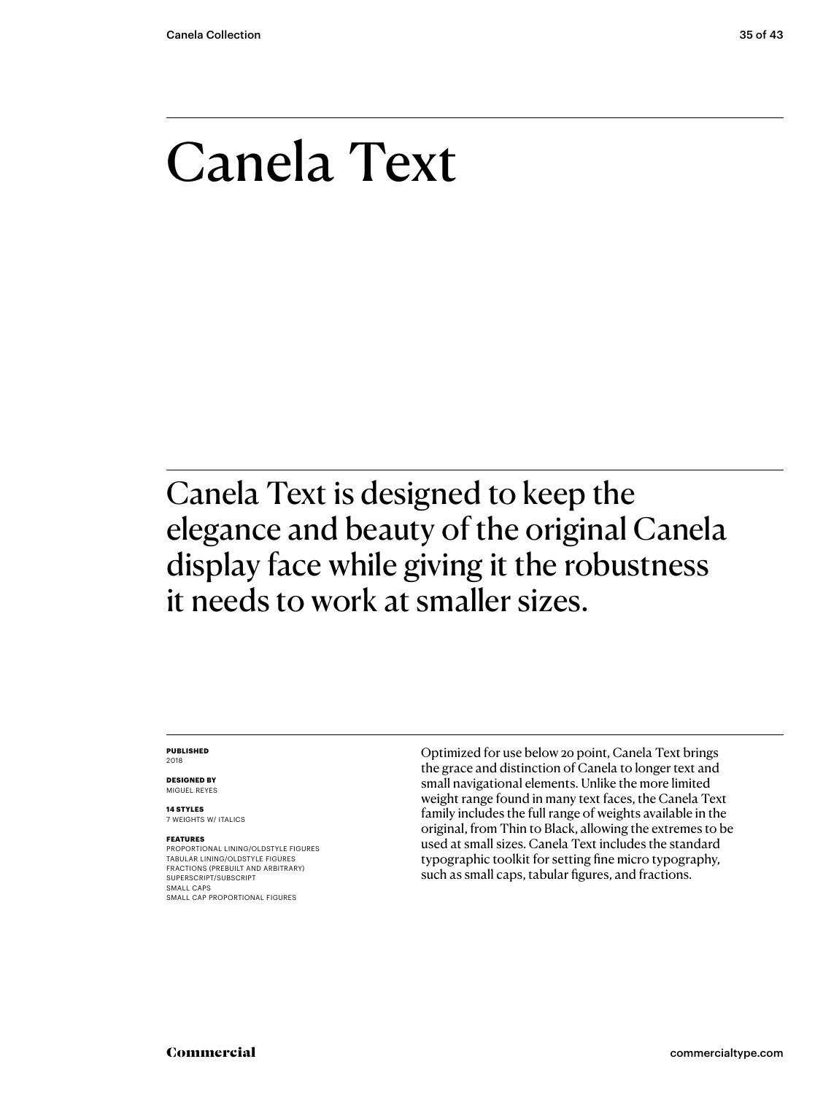### Canela Text

Canela Text is designed to keep the elegance and beauty of the original Canela display face while giving it the robustness it needs to work at smaller sizes.

#### **PUBLISHED** 2018

**DESIGNED BY** MIGUEL REYES

**14 STYLES** 7 WEIGHTS W/ ITALICS

#### **FEATURES**

PROPORTIONAL LINING/OLDSTYLE FIGURES TABULAR LINING/OLDSTYLE FIGURES FRACTIONS (PREBUILT AND ARBITRARY) SUPERSCRIPT/SUBSCRIPT SMALL CAPS SMALL CAP PROPORTIONAL FIGURES

Optimized for use below 20 point, Canela Text brings the grace and distinction of Canela to longer text and small navigational elements. Unlike the more limited weight range found in many text faces, the Canela Text family includes the full range of weights available in the original, from Thin to Black, allowing the extremes to be used at small sizes. Canela Text includes the standard typographic toolkit for setting fine micro typography, such as small caps, tabular figures, and fractions.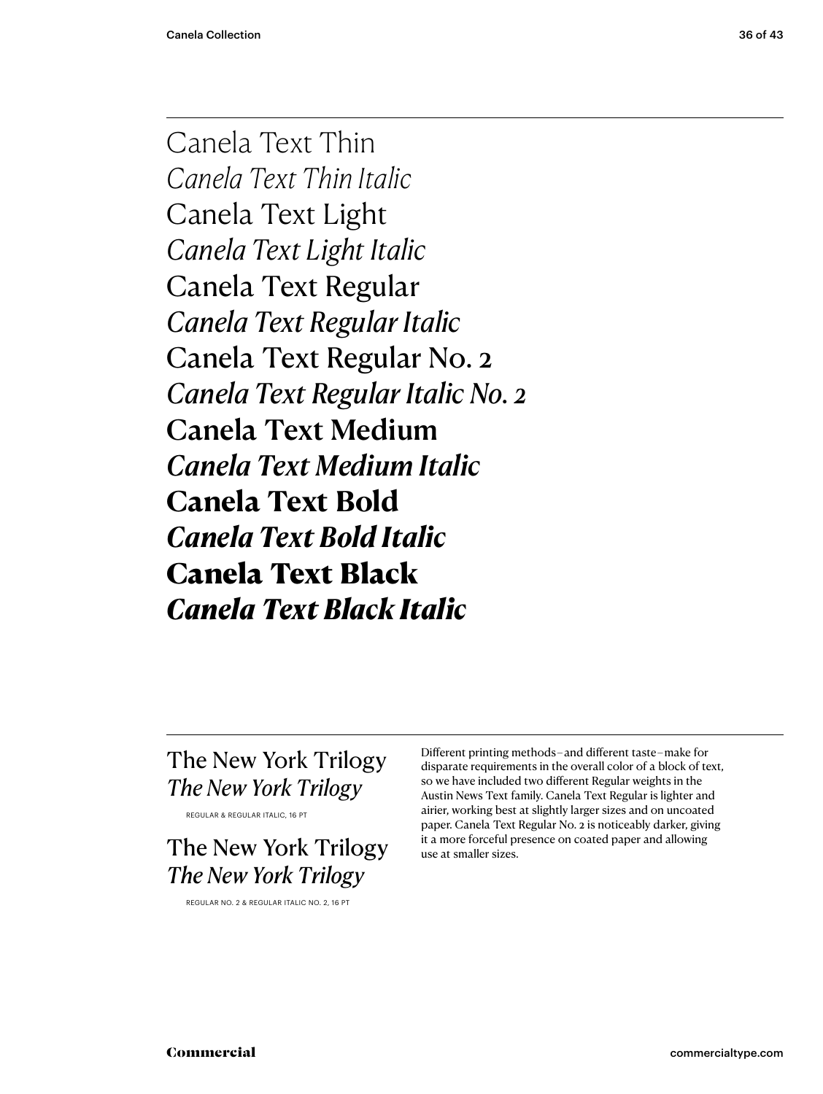Canela Text Thin *Canela Text Thin Italic* Canela Text Light *Canela Text Light Italic* Canela Text Regular *Canela Text Regular Italic* Canela Text Regular No. 2 *Canela Text Regular Italic No. 2* Canela Text Medium *Canela Text Medium Italic* **Canela Text Bold** *Canela Text Bold Italic* Canela Text Black *Canela Text Black Italic*

### The New York Trilogy *The New York Trilogy*

REGULAR & REGULAR ITALIC, 16 PT

The New York Trilogy *The New York Trilogy*

REGULAR NO. 2 & REGULAR ITALIC NO. 2, 16 PT

Different printing methods – and different taste – make for disparate requirements in the overall color of a block of text, so we have included two different Regular weights in the Austin News Text family. Canela Text Regular is lighter and airier, working best at slightly larger sizes and on uncoated paper. Canela Text Regular No. 2 is noticeably darker, giving it a more forceful presence on coated paper and allowing use at smaller sizes.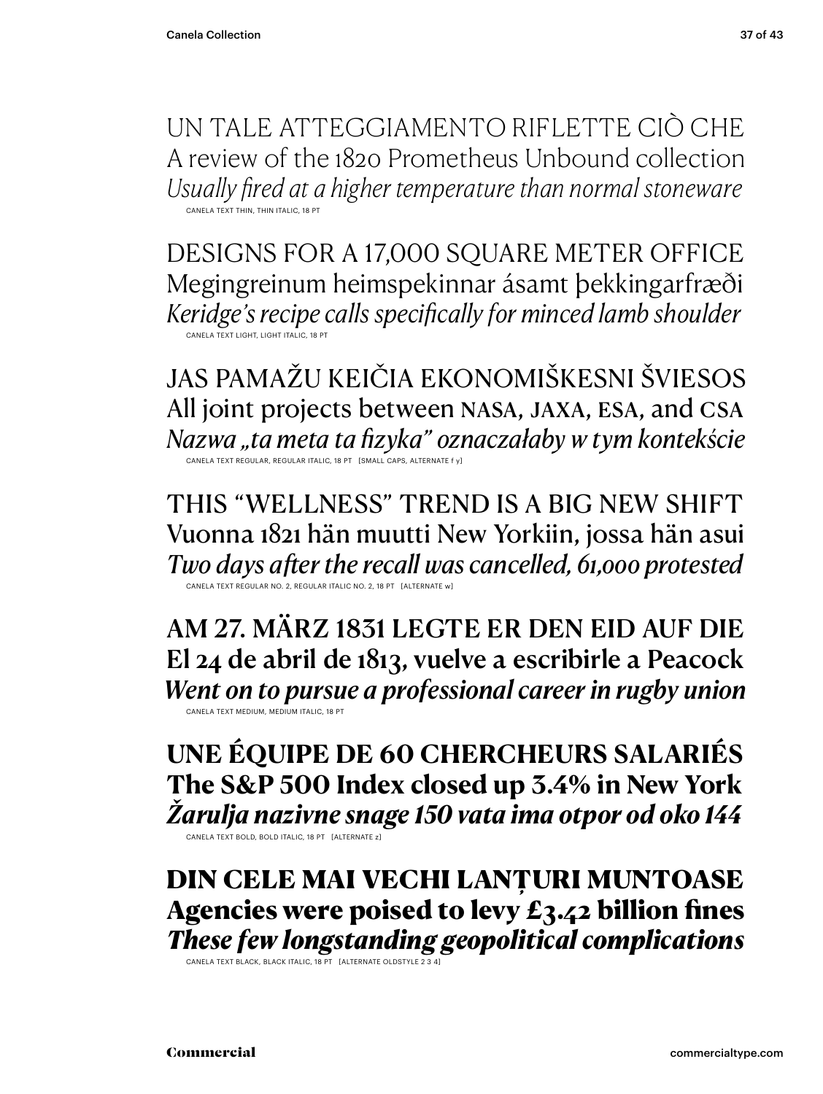UN TALE ATTEGGIAMENTO RIFLETTE CIÒ CHE A review of the 1820 Prometheus Unbound collection *Usually fired at a higher temperature than normal stoneware* CANELA TEXT THIN, THIN ITALIC, 18 PT

DESIGNS FOR A 17,000 SQUARE METER OFFICE Megingreinum heimspekinnar ásamt þekkingarfræði *Keridge's recipe calls specifically for minced lamb shoulder* CANELA TEXT LIGHT, LIGHT ITALIC, 18 PT

JAS PAMAŽU KEIČIA EKONOMIŠKESNI ŠVIESOS All joint projects between NASA, JAXA, esa, and csa *Nazwa "ta meta ta fizyka" oznaczałaby w tym kontekście* CANELA TEXT REGULAR, REGULAR ITALIC, 18 PT [SMALL CAPS, ALTERNATE f y]

THIS "WELLNESS" TREND IS A BIG NEW SHIFT Vuonna 1821 hän muutti New Yorkiin, jossa hän asui *Two days after the recall was cancelled, 61,000 protested* CANELA TEXT REGULAR NO. 2, REGULAR ITALIC NO. 2, 18 PT [ALTERNATE w]

AM 27. MÄRZ 1831 LEGTE ER DEN EID AUF DIE El 24 de abril de 1813, vuelve a escribirle a Peacock *Went on to pursue a professional career in rugby union* CANELA TEXT MEDIUM, MEDIUM ITALIC, 18 PT

**UNE ÉQUIPE DE 60 CHERCHEURS SALARIÉS The S&P 500 Index closed up 3.4% in New York** *Žarulja nazivne snage 150 vata ima otpor od oko 144*

CANELA TEXT BOLD, BOLD ITALIC, 18 PT [ALTERNATE z]

DIN CELE MAI VECHI LANȚURI MUNTOASE Agencies were poised to levy  $E_3.42$  billion fines *These few longstanding geopolitical complications* 

CANELA TEXT BLACK, BLACK ITALIC, 18 PT [ALTERNATE OLDSTYLE 2 3 4]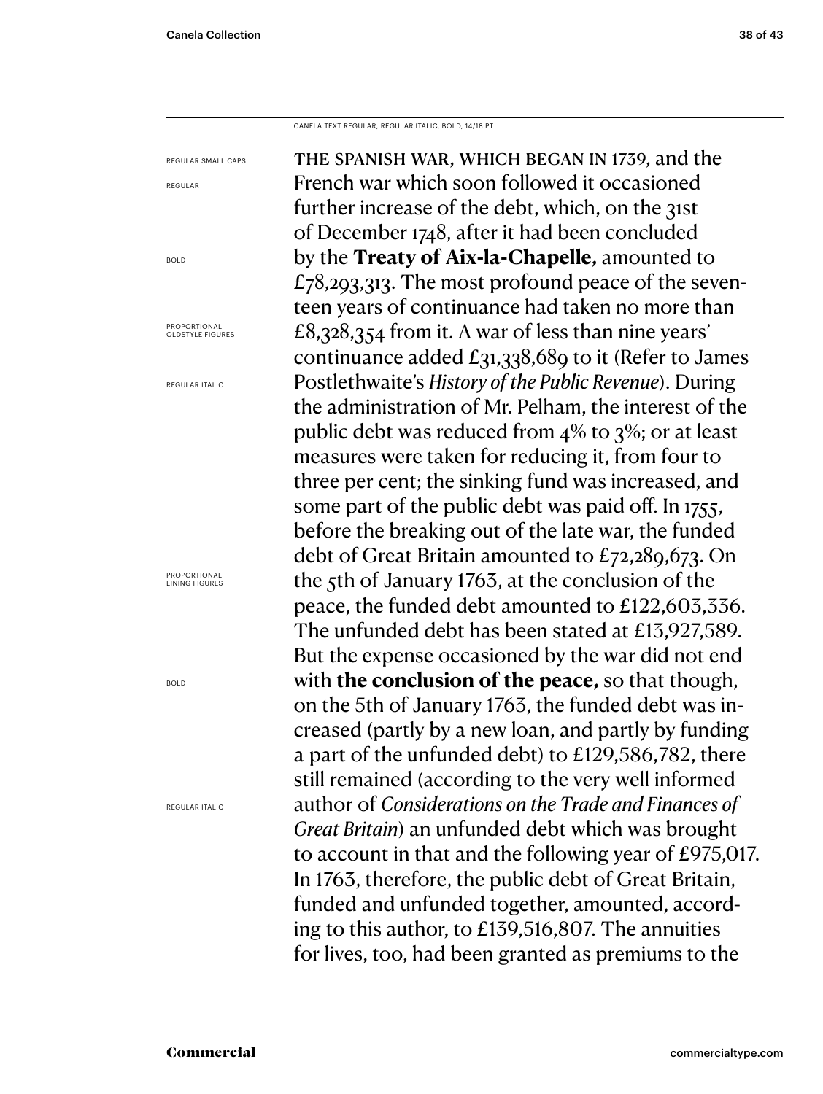CANELA TEXT REGULAR, REGULAR ITALIC, BOLD, 14/18 PT

the spanish war, which began in 1739, and the French war which soon followed it occasioned further increase of the debt, which, on the 31st of December 1748, after it had been concluded by the **Treaty of Aix-la-Chapelle,** amounted to  $£78,293,313.$  The most profound peace of the seventeen years of continuance had taken no more than £8,328,354 from it. A war of less than nine years' continuance added £31,338,689 to it (Refer to James Postlethwaite's *History of the Public Revenue*). During the administration of Mr. Pelham, the interest of the public debt was reduced from 4% to 3%; or at least measures were taken for reducing it, from four to three per cent; the sinking fund was increased, and some part of the public debt was paid off. In 1755, before the breaking out of the late war, the funded debt of Great Britain amounted to £72,289,673. On the 5th of January 1763, at the conclusion of the peace, the funded debt amounted to £122,603,336. The unfunded debt has been stated at £13,927,589. But the expense occasioned by the war did not end with **the conclusion of the peace,** so that though, on the 5th of January 1763, the funded debt was increased (partly by a new loan, and partly by funding a part of the unfunded debt) to £129,586,782, there still remained (according to the very well informed author of *Considerations on the Trade and Finances of Great Britain*) an unfunded debt which was brought to account in that and the following year of £975,017. In 1763, therefore, the public debt of Great Britain, funded and unfunded together, amounted, according to this author, to £139,516,807. The annuities for lives, too, had been granted as premiums to the REGULAR SMALL CAPS REGULAR BOLD **PROPORTIONAL** OLDSTYLE FIGURES REGULAR ITALIC **PROPORTIONAL** LINING FIGURES BOLD REGULAR ITALIC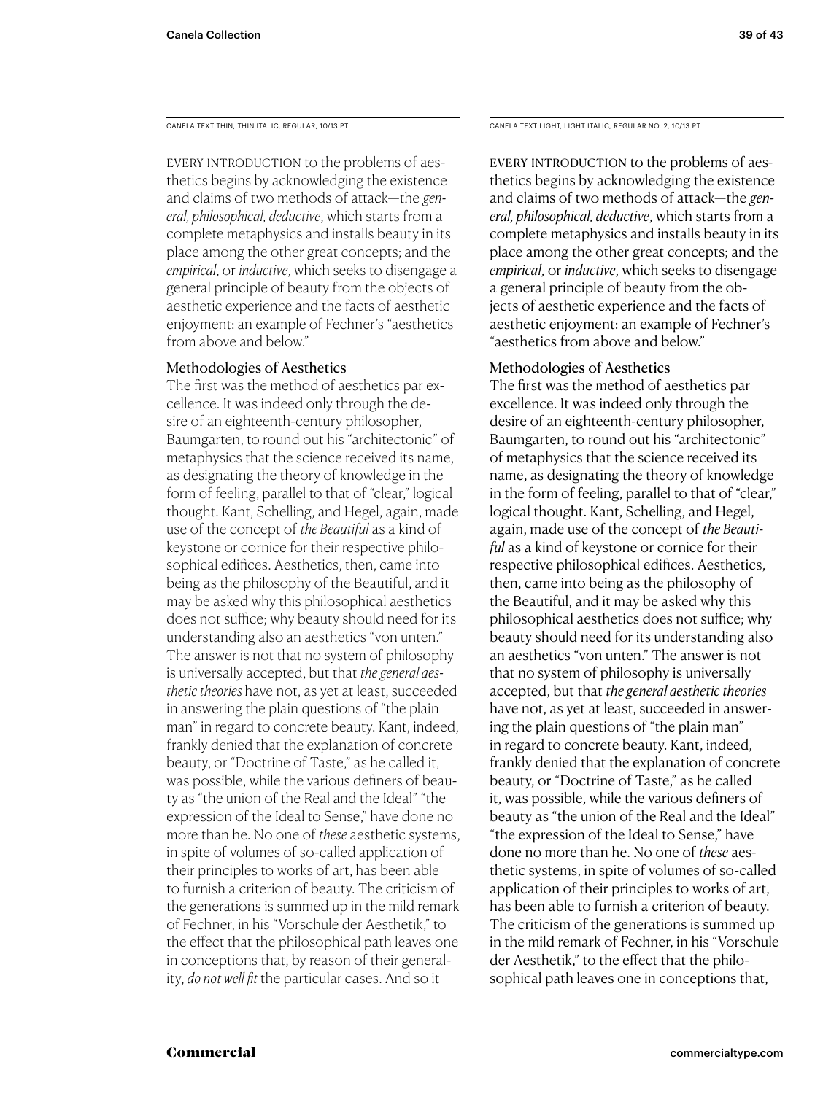EVERY INTRODUCTION to the problems of aesthetics begins by acknowledging the existence and claims of two methods of attack—the *general, philosophical, deductive*, which starts from a complete metaphysics and installs beauty in its place among the other great concepts; and the *empirical*, or *inductive*, which seeks to disengage a general principle of beauty from the objects of aesthetic experience and the facts of aesthetic enjoyment: an example of Fechner's "aesthetics from above and below."

### Methodologies of Aesthetics

The first was the method of aesthetics par excellence. It was indeed only through the desire of an eighteenth-century philosopher, Baumgarten, to round out his "architectonic" of metaphysics that the science received its name, as designating the theory of knowledge in the form of feeling, parallel to that of "clear," logical thought. Kant, Schelling, and Hegel, again, made use of the concept of *the Beautiful* as a kind of keystone or cornice for their respective philosophical edifices. Aesthetics, then, came into being as the philosophy of the Beautiful, and it may be asked why this philosophical aesthetics does not suffice; why beauty should need for its understanding also an aesthetics "von unten." The answer is not that no system of philosophy is universally accepted, but that *the general aesthetic theories* have not, as yet at least, succeeded in answering the plain questions of "the plain man" in regard to concrete beauty. Kant, indeed, frankly denied that the explanation of concrete beauty, or "Doctrine of Taste," as he called it, was possible, while the various definers of beauty as "the union of the Real and the Ideal" "the expression of the Ideal to Sense," have done no more than he. No one of *these* aesthetic systems, in spite of volumes of so-called application of their principles to works of art, has been able to furnish a criterion of beauty. The criticism of the generations is summed up in the mild remark of Fechner, in his "Vorschule der Aesthetik," to the effect that the philosophical path leaves one in conceptions that, by reason of their generality, *do not well fit* the particular cases. And so it

CANELA TEXT THIN, THIN ITALIC, REGULAR, 10/13 PT CANELA TEXT LIGHT, LIGHT ITALIC, REGULAR NO. 2, 10/13 PT

EVERY INTRODUCTION to the problems of aesthetics begins by acknowledging the existence and claims of two methods of attack—the *general, philosophical, deductive*, which starts from a complete metaphysics and installs beauty in its place among the other great concepts; and the *empirical*, or *inductive*, which seeks to disengage a general principle of beauty from the objects of aesthetic experience and the facts of aesthetic enjoyment: an example of Fechner's "aesthetics from above and below."

### Methodologies of Aesthetics

The first was the method of aesthetics par excellence. It was indeed only through the desire of an eighteenth-century philosopher, Baumgarten, to round out his "architectonic" of metaphysics that the science received its name, as designating the theory of knowledge in the form of feeling, parallel to that of "clear," logical thought. Kant, Schelling, and Hegel, again, made use of the concept of *the Beautiful* as a kind of keystone or cornice for their respective philosophical edifices. Aesthetics, then, came into being as the philosophy of the Beautiful, and it may be asked why this philosophical aesthetics does not suffice; why beauty should need for its understanding also an aesthetics "von unten." The answer is not that no system of philosophy is universally accepted, but that *the general aesthetic theories*  have not, as yet at least, succeeded in answering the plain questions of "the plain man" in regard to concrete beauty. Kant, indeed, frankly denied that the explanation of concrete beauty, or "Doctrine of Taste," as he called it, was possible, while the various definers of beauty as "the union of the Real and the Ideal" "the expression of the Ideal to Sense," have done no more than he. No one of *these* aesthetic systems, in spite of volumes of so-called application of their principles to works of art, has been able to furnish a criterion of beauty. The criticism of the generations is summed up in the mild remark of Fechner, in his "Vorschule der Aesthetik," to the effect that the philosophical path leaves one in conceptions that,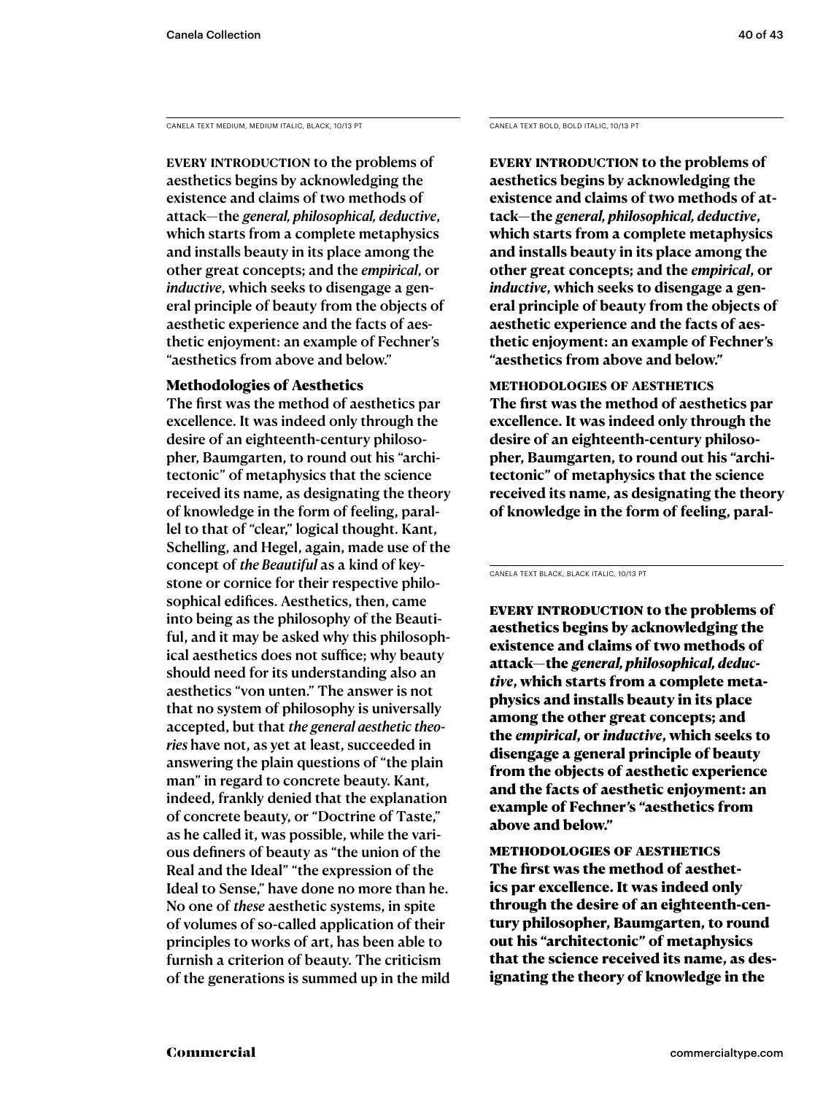CANELA TEXT MEDIUM, MEDIUM ITALIC, BLACK, 10/13 PT CANELA TEXT BOLD, BOLD ITALIC, 10/13 PT

EVERY INTRODUCTION to the problems of aesthetics begins by acknowledging the existence and claims of two methods of attack—the *general, philosophical, deductive*, which starts from a complete metaphysics and installs beauty in its place among the other great concepts; and the *empirical*, or *inductive*, which seeks to disengage a general principle of beauty from the objects of aesthetic experience and the facts of aesthetic enjoyment: an example of Fechner's "aesthetics from above and below."

### Methodologies of Aesthetics

The first was the method of aesthetics par excellence. It was indeed only through the desire of an eighteenth-century philosopher, Baumgarten, to round out his "architectonic" of metaphysics that the science received its name, as designating the theory of knowledge in the form of feeling, parallel to that of "clear," logical thought. Kant, Schelling, and Hegel, again, made use of the concept of *the Beautiful* as a kind of keystone or cornice for their respective philosophical edifices. Aesthetics, then, came into being as the philosophy of the Beautiful, and it may be asked why this philosophical aesthetics does not suffice; why beauty should need for its understanding also an aesthetics "von unten." The answer is not that no system of philosophy is universally accepted, but that *the general aesthetic theories* have not, as yet at least, succeeded in answering the plain questions of "the plain man" in regard to concrete beauty. Kant, indeed, frankly denied that the explanation of concrete beauty, or "Doctrine of Taste," as he called it, was possible, while the various definers of beauty as "the union of the Real and the Ideal" "the expression of the Ideal to Sense," have done no more than he. No one of *these* aesthetic systems, in spite of volumes of so-called application of their principles to works of art, has been able to furnish a criterion of beauty. The criticism of the generations is summed up in the mild

**Every introduction to the problems of aesthetics begins by acknowledging the existence and claims of two methods of attack—the** *general, philosophical, deductive***, which starts from a complete metaphysics and installs beauty in its place among the other great concepts; and the** *empirical***, or**  *inductive***, which seeks to disengage a general principle of beauty from the objects of aesthetic experience and the facts of aesthetic enjoyment: an example of Fechner's "aesthetics from above and below."** 

**methodologies of aesthetics The first was the method of aesthetics par excellence. It was indeed only through the desire of an eighteenth-century philosopher, Baumgarten, to round out his "architectonic" of metaphysics that the science received its name, as designating the theory of knowledge in the form of feeling, paral-**

CANELA TEXT BLACK, BLACK ITALIC, 10/13 PT

EVERY INTRODUCTION to the problems of aesthetics begins by acknowledging the existence and claims of two methods of attack—the *general, philosophical, deductive*, which starts from a complete metaphysics and installs beauty in its place among the other great concepts; and the *empirical*, or *inductive*, which seeks to disengage a general principle of beauty from the objects of aesthetic experience and the facts of aesthetic enjoyment: an example of Fechner's "aesthetics from above and below."

methodologies of aesthetics The first was the method of aesthetics par excellence. It was indeed only through the desire of an eighteenth-century philosopher, Baumgarten, to round out his "architectonic" of metaphysics that the science received its name, as designating the theory of knowledge in the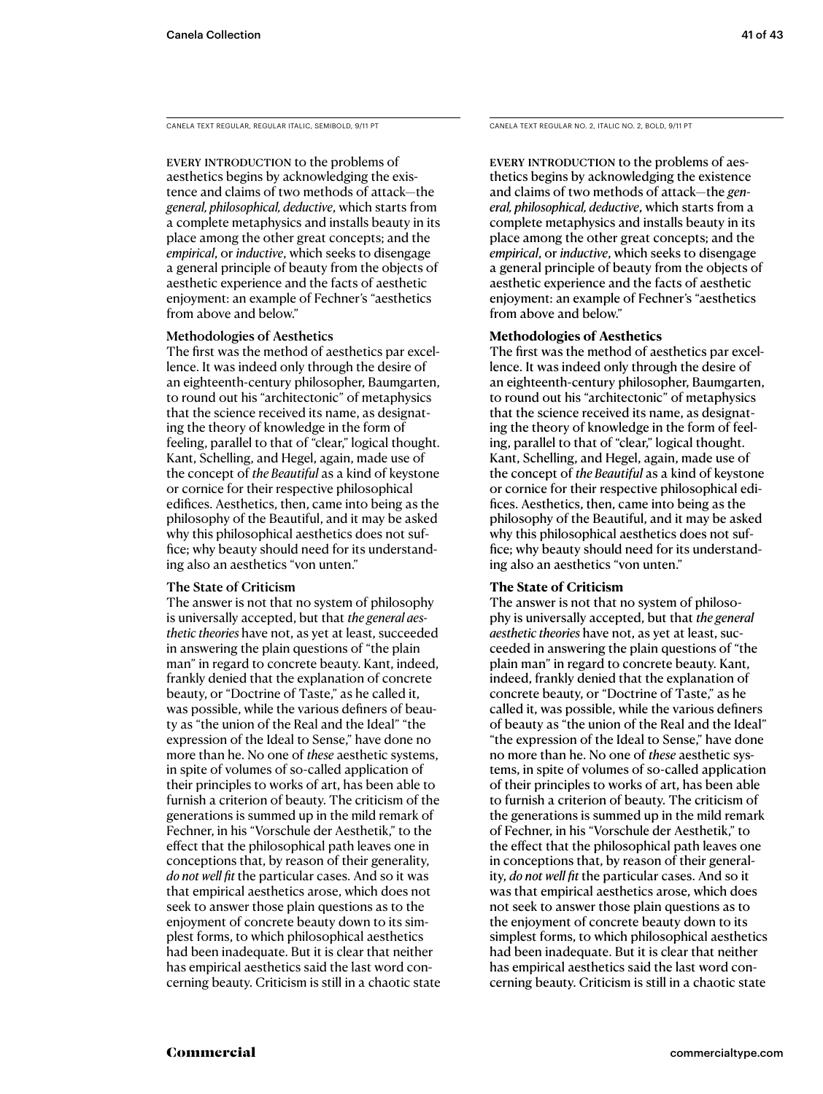CANELA TEXT REGULAR, REGULAR ITALIC, SEMIBOLD, 9/11 PT

EVERY INTRODUCTION to the problems of aesthetics begins by acknowledging the existence and claims of two methods of attack—the *general, philosophical, deductive*, which starts from a complete metaphysics and installs beauty in its place among the other great concepts; and the *empirical*, or *inductive*, which seeks to disengage a general principle of beauty from the objects of aesthetic experience and the facts of aesthetic enjoyment: an example of Fechner's "aesthetics from above and below."

### Methodologies of Aesthetics

The first was the method of aesthetics par excellence. It was indeed only through the desire of an eighteenth-century philosopher, Baumgarten, to round out his "architectonic" of metaphysics that the science received its name, as designating the theory of knowledge in the form of feeling, parallel to that of "clear," logical thought. Kant, Schelling, and Hegel, again, made use of the concept of *the Beautiful* as a kind of keystone or cornice for their respective philosophical edifices. Aesthetics, then, came into being as the philosophy of the Beautiful, and it may be asked why this philosophical aesthetics does not suffice; why beauty should need for its understanding also an aesthetics "von unten."

#### The State of Criticism

The answer is not that no system of philosophy is universally accepted, but that *the general aesthetic theories* have not, as yet at least, succeeded in answering the plain questions of "the plain man" in regard to concrete beauty. Kant, indeed, frankly denied that the explanation of concrete beauty, or "Doctrine of Taste," as he called it, was possible, while the various definers of beauty as "the union of the Real and the Ideal" "the expression of the Ideal to Sense," have done no more than he. No one of *these* aesthetic systems, in spite of volumes of so-called application of their principles to works of art, has been able to furnish a criterion of beauty. The criticism of the generations is summed up in the mild remark of Fechner, in his "Vorschule der Aesthetik," to the effect that the philosophical path leaves one in conceptions that, by reason of their generality, *do not well fit* the particular cases. And so it was that empirical aesthetics arose, which does not seek to answer those plain questions as to the enjoyment of concrete beauty down to its simplest forms, to which philosophical aesthetics had been inadequate. But it is clear that neither has empirical aesthetics said the last word concerning beauty. Criticism is still in a chaotic state CANELA TEXT REGULAR NO. 2, ITALIC NO. 2, BOLD, 9/11 PT

EVERY INTRODUCTION to the problems of aesthetics begins by acknowledging the existence and claims of two methods of attack—the *general, philosophical, deductive*, which starts from a complete metaphysics and installs beauty in its place among the other great concepts; and the *empirical*, or *inductive*, which seeks to disengage a general principle of beauty from the objects of aesthetic experience and the facts of aesthetic enjoyment: an example of Fechner's "aesthetics from above and below."

### **Methodologies of Aesthetics**

The first was the method of aesthetics par excellence. It was indeed only through the desire of an eighteenth-century philosopher, Baumgarten, to round out his "architectonic" of metaphysics that the science received its name, as designating the theory of knowledge in the form of feeling, parallel to that of "clear," logical thought. Kant, Schelling, and Hegel, again, made use of the concept of *the Beautiful* as a kind of keystone or cornice for their respective philosophical edifices. Aesthetics, then, came into being as the philosophy of the Beautiful, and it may be asked why this philosophical aesthetics does not suffice; why beauty should need for its understanding also an aesthetics "von unten."

### **The State of Criticism**

The answer is not that no system of philosophy is universally accepted, but that *the general aesthetic theories* have not, as yet at least, succeeded in answering the plain questions of "the plain man" in regard to concrete beauty. Kant, indeed, frankly denied that the explanation of concrete beauty, or "Doctrine of Taste," as he called it, was possible, while the various definers of beauty as "the union of the Real and the Ideal" "the expression of the Ideal to Sense," have done no more than he. No one of *these* aesthetic systems, in spite of volumes of so-called application of their principles to works of art, has been able to furnish a criterion of beauty. The criticism of the generations is summed up in the mild remark of Fechner, in his "Vorschule der Aesthetik," to the effect that the philosophical path leaves one in conceptions that, by reason of their generality, *do not well fit* the particular cases. And so it was that empirical aesthetics arose, which does not seek to answer those plain questions as to the enjoyment of concrete beauty down to its simplest forms, to which philosophical aesthetics had been inadequate. But it is clear that neither has empirical aesthetics said the last word concerning beauty. Criticism is still in a chaotic state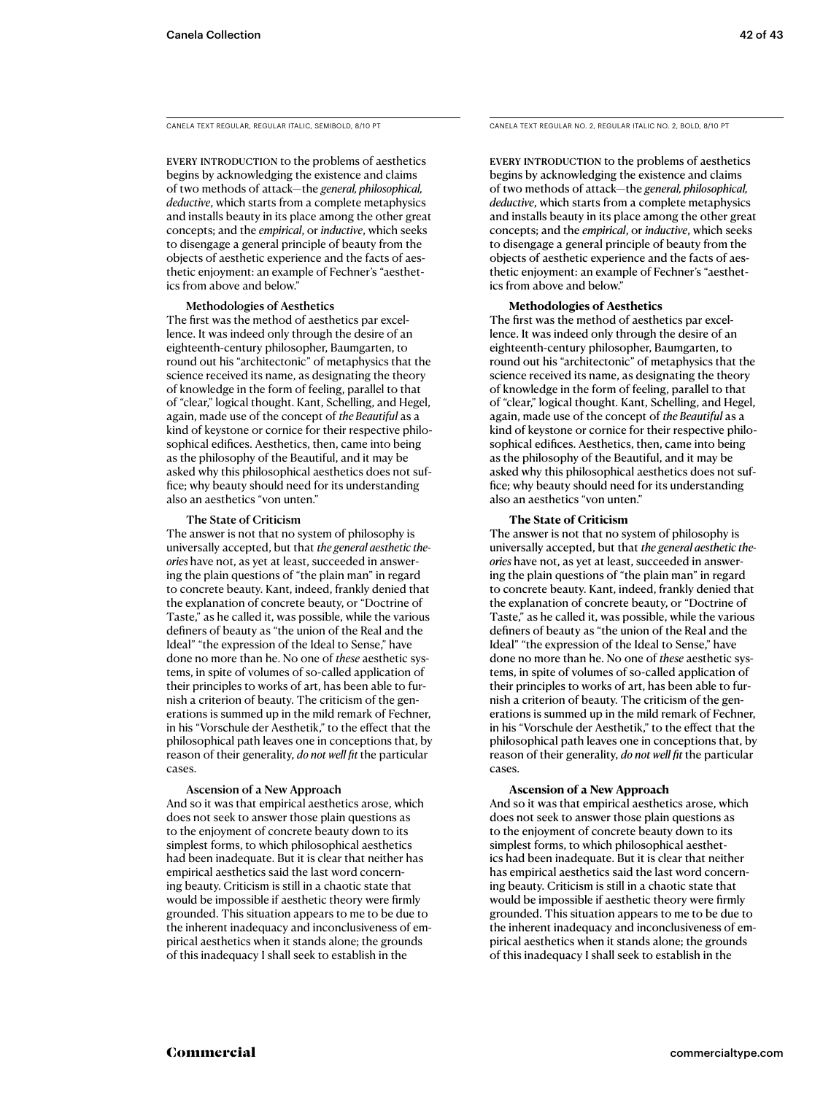CANELA TEXT REGULAR, REGULAR ITALIC, SEMIBOLD, 8/10 PT

EVERY INTRODUCTION to the problems of aesthetics begins by acknowledging the existence and claims of two methods of attack—the *general, philosophical, deductive*, which starts from a complete metaphysics and installs beauty in its place among the other great concepts; and the *empirical*, or *inductive*, which seeks to disengage a general principle of beauty from the objects of aesthetic experience and the facts of aesthetic enjoyment: an example of Fechner's "aesthetics from above and below."

### Methodologies of Aesthetics

The first was the method of aesthetics par excellence. It was indeed only through the desire of an eighteenth-century philosopher, Baumgarten, to round out his "architectonic" of metaphysics that the science received its name, as designating the theory of knowledge in the form of feeling, parallel to that of "clear," logical thought. Kant, Schelling, and Hegel, again, made use of the concept of *the Beautiful* as a kind of keystone or cornice for their respective philosophical edifices. Aesthetics, then, came into being as the philosophy of the Beautiful, and it may be asked why this philosophical aesthetics does not suffice; why beauty should need for its understanding also an aesthetics "von unten."

#### The State of Criticism

The answer is not that no system of philosophy is universally accepted, but that *the general aesthetic theories* have not, as yet at least, succeeded in answering the plain questions of "the plain man" in regard to concrete beauty. Kant, indeed, frankly denied that the explanation of concrete beauty, or "Doctrine of Taste," as he called it, was possible, while the various definers of beauty as "the union of the Real and the Ideal" "the expression of the Ideal to Sense," have done no more than he. No one of *these* aesthetic systems, in spite of volumes of so-called application of their principles to works of art, has been able to furnish a criterion of beauty. The criticism of the generations is summed up in the mild remark of Fechner, in his "Vorschule der Aesthetik," to the effect that the philosophical path leaves one in conceptions that, by reason of their generality, *do not well fit* the particular cases.

#### Ascension of a New Approach

And so it was that empirical aesthetics arose, which does not seek to answer those plain questions as to the enjoyment of concrete beauty down to its simplest forms, to which philosophical aesthetics had been inadequate. But it is clear that neither has empirical aesthetics said the last word concerning beauty. Criticism is still in a chaotic state that would be impossible if aesthetic theory were firmly grounded. This situation appears to me to be due to the inherent inadequacy and inconclusiveness of empirical aesthetics when it stands alone; the grounds of this inadequacy I shall seek to establish in the

CANELA TEXT REGULAR NO. 2, REGULAR ITALIC NO. 2, BOLD, 8/10 PT

EVERY INTRODUCTION to the problems of aesthetics begins by acknowledging the existence and claims of two methods of attack—the *general, philosophical, deductive*, which starts from a complete metaphysics and installs beauty in its place among the other great concepts; and the *empirical*, or *inductive*, which seeks to disengage a general principle of beauty from the objects of aesthetic experience and the facts of aesthetic enjoyment: an example of Fechner's "aesthetics from above and below."

#### **Methodologies of Aesthetics**

The first was the method of aesthetics par excellence. It was indeed only through the desire of an eighteenth-century philosopher, Baumgarten, to round out his "architectonic" of metaphysics that the science received its name, as designating the theory of knowledge in the form of feeling, parallel to that of "clear," logical thought. Kant, Schelling, and Hegel, again, made use of the concept of *the Beautiful* as a kind of keystone or cornice for their respective philosophical edifices. Aesthetics, then, came into being as the philosophy of the Beautiful, and it may be asked why this philosophical aesthetics does not suffice; why beauty should need for its understanding also an aesthetics "von unten."

#### **The State of Criticism**

The answer is not that no system of philosophy is universally accepted, but that *the general aesthetic theories* have not, as yet at least, succeeded in answering the plain questions of "the plain man" in regard to concrete beauty. Kant, indeed, frankly denied that the explanation of concrete beauty, or "Doctrine of Taste," as he called it, was possible, while the various definers of beauty as "the union of the Real and the Ideal" "the expression of the Ideal to Sense," have done no more than he. No one of *these* aesthetic systems, in spite of volumes of so-called application of their principles to works of art, has been able to furnish a criterion of beauty. The criticism of the generations is summed up in the mild remark of Fechner, in his "Vorschule der Aesthetik," to the effect that the philosophical path leaves one in conceptions that, by reason of their generality, *do not well fit* the particular cases.

#### **Ascension of a New Approach**

And so it was that empirical aesthetics arose, which does not seek to answer those plain questions as to the enjoyment of concrete beauty down to its simplest forms, to which philosophical aesthetics had been inadequate. But it is clear that neither has empirical aesthetics said the last word concerning beauty. Criticism is still in a chaotic state that would be impossible if aesthetic theory were firmly grounded. This situation appears to me to be due to the inherent inadequacy and inconclusiveness of empirical aesthetics when it stands alone; the grounds of this inadequacy I shall seek to establish in the